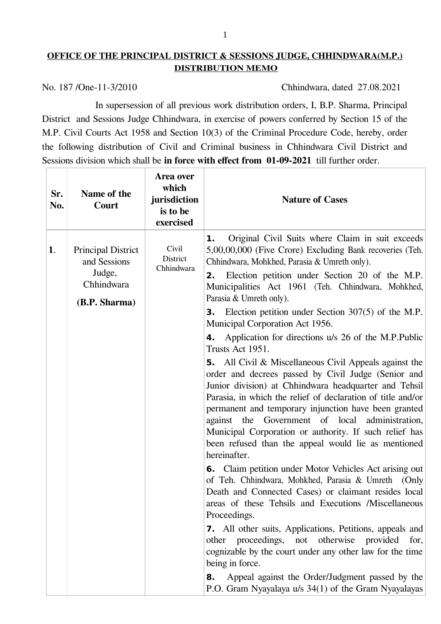## **OFFICE OF THE PRINCIPAL DISTRICT & SESSIONS JUDGE, CHHINDWARA(M.P.) DISTRIBUTION MEMO**

No. 187 /One-11-3/2010 Chhindwara, dated 27.08.2021

In supersession of all previous work distribution orders, I, B.P. Sharma, Principal District and Sessions Judge Chhindwara, in exercise of powers conferred by Section 15 of the M.P. Civil Courts Act 1958 and Section 10(3) of the Criminal Procedure Code, hereby, order the following distribution of Civil and Criminal business in Chhindwara Civil District and Sessions division which shall be **in force with effect from 01-09-2021** till further order.

| Sr.<br>No. | Name of the<br>Court                                                               | Area over<br>which<br>jurisdiction<br>is to be<br>exercised | <b>Nature of Cases</b>                                                                                                                                                                                                                                                                                                                                                                                                                                                                                                                                                                                                                                                                                                                                                                                                                                                                                                                                                                                                                                                                                                                                                                                                                                                                                                                                                                                                                                                                                                                                                                      |
|------------|------------------------------------------------------------------------------------|-------------------------------------------------------------|---------------------------------------------------------------------------------------------------------------------------------------------------------------------------------------------------------------------------------------------------------------------------------------------------------------------------------------------------------------------------------------------------------------------------------------------------------------------------------------------------------------------------------------------------------------------------------------------------------------------------------------------------------------------------------------------------------------------------------------------------------------------------------------------------------------------------------------------------------------------------------------------------------------------------------------------------------------------------------------------------------------------------------------------------------------------------------------------------------------------------------------------------------------------------------------------------------------------------------------------------------------------------------------------------------------------------------------------------------------------------------------------------------------------------------------------------------------------------------------------------------------------------------------------------------------------------------------------|
| 1.         | <b>Principal District</b><br>and Sessions<br>Judge,<br>Chhindwara<br>(B.P. Sharma) | Civil<br>District<br>Chhindwara                             | Original Civil Suits where Claim in suit exceeds<br>1.<br>5,00,00,000 (Five Crore) Excluding Bank recoveries (Teh.<br>Chhindwara, Mohkhed, Parasia & Umreth only).<br>Election petition under Section 20 of the M.P.<br>2.<br>Municipalities Act 1961 (Teh. Chhindwara, Mohkhed,<br>Parasia & Umreth only).<br><b>3.</b> Election petition under Section 307(5) of the M.P.<br>Municipal Corporation Act 1956.<br><b>4.</b> Application for directions u/s 26 of the M.P.Public<br>Trusts Act 1951.<br><b>5.</b> All Civil & Miscellaneous Civil Appeals against the<br>order and decrees passed by Civil Judge (Senior and<br>Junior division) at Chhindwara headquarter and Tehsil<br>Parasia, in which the relief of declaration of title and/or<br>permanent and temporary injunction have been granted<br>Government of local administration,<br>the<br>against<br>Municipal Corporation or authority. If such relief has<br>been refused than the appeal would lie as mentioned<br>hereinafter.<br><b>6.</b> Claim petition under Motor Vehicles Act arising out<br>of Teh. Chhindwara, Mohkhed, Parasia & Umreth (Only<br>Death and Connected Cases) or claimant resides local<br>areas of these Tehsils and Executions /Miscellaneous<br>Proceedings.<br><b>7.</b> All other suits, Applications, Petitions, appeals and<br>proceedings, not otherwise<br>provided<br>other<br>for,<br>cognizable by the court under any other law for the time<br>being in force.<br>Appeal against the Order/Judgment passed by the<br>8.<br>P.O. Gram Nyayalaya u/s 34(1) of the Gram Nyayalayas |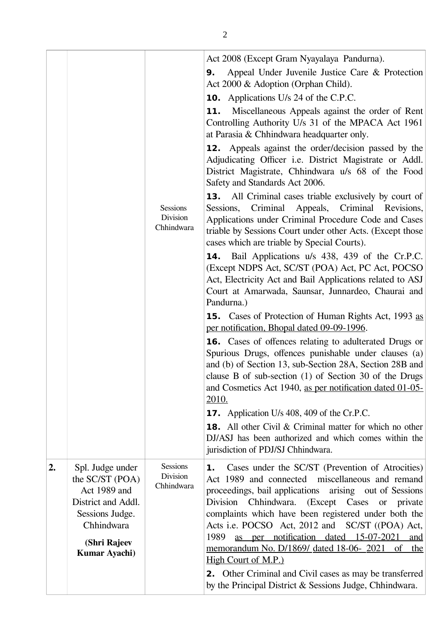|    |                                                                                                                                               | Sessions<br><b>Division</b><br>Chhindwara | Act 2008 (Except Gram Nyayalaya Pandurna).<br>Appeal Under Juvenile Justice Care & Protection<br>9.<br>Act 2000 & Adoption (Orphan Child).<br><b>10.</b> Applications U/s 24 of the C.P.C.<br>Miscellaneous Appeals against the order of Rent<br>11.<br>Controlling Authority U/s 31 of the MPACA Act 1961<br>at Parasia & Chhindwara headquarter only.<br><b>12.</b> Appeals against the order/decision passed by the<br>Adjudicating Officer i.e. District Magistrate or Addl.<br>District Magistrate, Chhindwara u/s 68 of the Food<br>Safety and Standards Act 2006.<br><b>13.</b> All Criminal cases triable exclusively by court of<br>Sessions, Criminal Appeals, Criminal Revisions,<br>Applications under Criminal Procedure Code and Cases<br>triable by Sessions Court under other Acts. (Except those<br>cases which are triable by Special Courts).<br><b>14.</b> Bail Applications u/s 438, 439 of the Cr.P.C.<br>(Except NDPS Act, SC/ST (POA) Act, PC Act, POCSO<br>Act, Electricity Act and Bail Applications related to ASJ<br>Court at Amarwada, Saunsar, Junnardeo, Chaurai and<br>Pandurna.)<br><b>15.</b> Cases of Protection of Human Rights Act, 1993 as<br>per notification, Bhopal dated 09-09-1996.<br><b>16.</b> Cases of offences relating to adulterated Drugs or<br>Spurious Drugs, offences punishable under clauses (a)<br>and (b) of Section 13, sub-Section 28A, Section 28B and<br>clause B of sub-section (1) of Section 30 of the Drugs<br>and Cosmetics Act 1940, as per notification dated 01-05-<br><u>2010.</u><br><b>17.</b> Application U/s 408, 409 of the Cr.P.C.<br><b>18.</b> All other Civil & Criminal matter for which no other<br>DJ/ASJ has been authorized and which comes within the<br>jurisdiction of PDJ/SJ Chhindwara. |
|----|-----------------------------------------------------------------------------------------------------------------------------------------------|-------------------------------------------|-----------------------------------------------------------------------------------------------------------------------------------------------------------------------------------------------------------------------------------------------------------------------------------------------------------------------------------------------------------------------------------------------------------------------------------------------------------------------------------------------------------------------------------------------------------------------------------------------------------------------------------------------------------------------------------------------------------------------------------------------------------------------------------------------------------------------------------------------------------------------------------------------------------------------------------------------------------------------------------------------------------------------------------------------------------------------------------------------------------------------------------------------------------------------------------------------------------------------------------------------------------------------------------------------------------------------------------------------------------------------------------------------------------------------------------------------------------------------------------------------------------------------------------------------------------------------------------------------------------------------------------------------------------------------------------------------------------------------------------------------------------------------------------|
| 2. | Spl. Judge under<br>the $SC/ST$ (POA)<br>Act 1989 and<br>District and Addl.<br>Sessions Judge.<br>Chhindwara<br>(Shri Rajeev<br>Kumar Ayachi) | <b>Sessions</b><br>Division<br>Chhindwara | Cases under the SC/ST (Prevention of Atrocities)<br>1.<br>Act 1989 and connected miscellaneous and remand<br>proceedings, bail applications arising out of Sessions<br>Division Chhindwara. (Except Cases<br>or private<br>complaints which have been registered under both the<br>Acts i.e. POCSO Act, 2012 and SC/ST ((POA) Act,<br>as per notification dated 15-07-2021<br>1989<br>and<br>memorandum No. D/1869/ dated 18-06- 2021 of the<br>High Court of M.P.)<br><b>2.</b> Other Criminal and Civil cases as may be transferred<br>by the Principal District & Sessions Judge, Chhindwara.                                                                                                                                                                                                                                                                                                                                                                                                                                                                                                                                                                                                                                                                                                                                                                                                                                                                                                                                                                                                                                                                                                                                                                                  |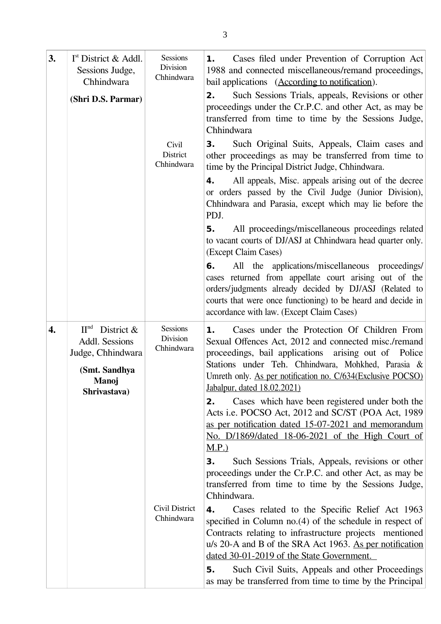| 3.               | $Ist$ District & Addl.<br>Sessions Judge,<br>Chhindwara<br>(Shri D.S. Parmar)                                           | Sessions<br>Division<br>Chhindwara | Cases filed under Prevention of Corruption Act<br>1.<br>1988 and connected miscellaneous/remand proceedings,<br>bail applications (According to notification).<br>Such Sessions Trials, appeals, Revisions or other<br>2.<br>proceedings under the Cr.P.C. and other Act, as may be<br>transferred from time to time by the Sessions Judge,<br>Chhindwara                                                 |
|------------------|-------------------------------------------------------------------------------------------------------------------------|------------------------------------|-----------------------------------------------------------------------------------------------------------------------------------------------------------------------------------------------------------------------------------------------------------------------------------------------------------------------------------------------------------------------------------------------------------|
|                  |                                                                                                                         | Civil<br>District<br>Chhindwara    | Such Original Suits, Appeals, Claim cases and<br>3.<br>other proceedings as may be transferred from time to<br>time by the Principal District Judge, Chhindwara.<br>All appeals, Misc. appeals arising out of the decree<br>4.<br>or orders passed by the Civil Judge (Junior Division),<br>Chhindwara and Parasia, except which may lie before the<br>PDJ.                                               |
|                  |                                                                                                                         |                                    | All proceedings/miscellaneous proceedings related<br>5.<br>to vacant courts of DJ/ASJ at Chhindwara head quarter only.<br>(Except Claim Cases)                                                                                                                                                                                                                                                            |
|                  |                                                                                                                         |                                    | All the applications/miscellaneous proceedings/<br>6.<br>cases returned from appellate court arising out of the<br>orders/judgments already decided by DJ/ASJ (Related to<br>courts that were once functioning) to be heard and decide in<br>accordance with law. (Except Claim Cases)                                                                                                                    |
| $\overline{4}$ . | $\Pi^{\rm nd}$<br>District $\&$<br>Addl. Sessions<br>Judge, Chhindwara<br>(Smt. Sandhya<br><b>Manoj</b><br>Shrivastava) | Sessions<br>Division<br>Chhindwara | Cases under the Protection Of Children From<br>1.<br>Sexual Offences Act, 2012 and connected misc./remand<br>proceedings, bail applications arising out of Police<br>Stations under Teh. Chhindwara, Mohkhed, Parasia &<br>Umreth only. As per notification no. C/634(Exclusive POCSO)<br>Jabalpur, dated 18.02.2021)                                                                                     |
|                  |                                                                                                                         |                                    | Cases which have been registered under both the<br>2.<br>Acts i.e. POCSO Act, 2012 and SC/ST (POA Act, 1989)<br>as per notification dated 15-07-2021 and memorandum<br>No. D/1869/dated 18-06-2021 of the High Court of<br><u>M.P.)</u>                                                                                                                                                                   |
|                  |                                                                                                                         |                                    | Such Sessions Trials, Appeals, revisions or other<br>З.<br>proceedings under the Cr.P.C. and other Act, as may be<br>transferred from time to time by the Sessions Judge,<br>Chhindwara.                                                                                                                                                                                                                  |
|                  |                                                                                                                         | Civil District<br>Chhindwara       | Cases related to the Specific Relief Act 1963<br>4.<br>specified in Column $no.(4)$ of the schedule in respect of<br>Contracts relating to infrastructure projects mentioned<br>u/s 20-A and B of the SRA Act 1963. As per notification<br>dated 30-01-2019 of the State Government.<br>Such Civil Suits, Appeals and other Proceedings<br>5.<br>as may be transferred from time to time by the Principal |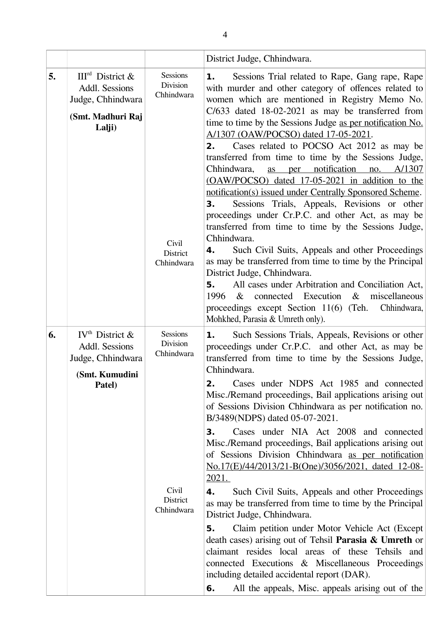|    |                                                                                                   |                                                                                     | District Judge, Chhindwara.                                                                                                                                                                                                                                                                                                                                                                                                                                                                                                                                                                                                                                                                                                                                                                                                                                                                                                                                                                                                                                                                                                                                             |  |
|----|---------------------------------------------------------------------------------------------------|-------------------------------------------------------------------------------------|-------------------------------------------------------------------------------------------------------------------------------------------------------------------------------------------------------------------------------------------------------------------------------------------------------------------------------------------------------------------------------------------------------------------------------------------------------------------------------------------------------------------------------------------------------------------------------------------------------------------------------------------------------------------------------------------------------------------------------------------------------------------------------------------------------------------------------------------------------------------------------------------------------------------------------------------------------------------------------------------------------------------------------------------------------------------------------------------------------------------------------------------------------------------------|--|
| 5. | $IIIrd$ District &<br>Addl. Sessions<br>Judge, Chhindwara<br>(Smt. Madhuri Raj<br>Lalji)          | <b>Sessions</b><br>Division<br>Chhindwara<br>Civil<br><b>District</b><br>Chhindwara | Sessions Trial related to Rape, Gang rape, Rape<br>1.<br>with murder and other category of offences related to<br>women which are mentioned in Registry Memo No.<br>$C/633$ dated 18-02-2021 as may be transferred from<br>time to time by the Sessions Judge as per notification No.<br>A/1307 (OAW/POCSO) dated 17-05-2021.<br>Cases related to POCSO Act 2012 as may be<br>2.<br>transferred from time to time by the Sessions Judge,<br>as per notification no. A/1307<br>Chhindwara,<br>(OAW/POCSO) dated 17-05-2021 in addition to the<br>notification(s) issued under Centrally Sponsored Scheme.<br>Sessions Trials, Appeals, Revisions or other<br>3.<br>proceedings under Cr.P.C. and other Act, as may be<br>transferred from time to time by the Sessions Judge,<br>Chhindwara.<br>Such Civil Suits, Appeals and other Proceedings<br>4.<br>as may be transferred from time to time by the Principal<br>District Judge, Chhindwara.<br>All cases under Arbitration and Conciliation Act,<br>5.<br>connected Execution<br>$\&$<br>miscellaneous<br>1996<br>$\&$<br>Chhindwara,<br>proceedings except Section 11(6) (Teh.<br>Mohkhed, Parasia & Umreth only). |  |
| 6. | IV <sup>th</sup> District $\&$<br>Addl. Sessions<br>Judge, Chhindwara<br>(Smt. Kumudini<br>Patel) | <b>Sessions</b><br>Division<br>Chhindwara<br>Civil<br>District<br>Chhindwara        | Such Sessions Trials, Appeals, Revisions or other<br>1.<br>proceedings under Cr.P.C. and other Act, as may be<br>transferred from time to time by the Sessions Judge,<br>Chhindwara.<br>Cases under NDPS Act 1985 and connected<br>2.<br>Misc./Remand proceedings, Bail applications arising out<br>of Sessions Division Chhindwara as per notification no.<br>B/3489(NDPS) dated 05-07-2021.<br>Cases under NIA Act 2008 and connected<br>З.<br>Misc./Remand proceedings, Bail applications arising out<br>of Sessions Division Chhindwara as per notification<br>No.17(E)/44/2013/21-B(One)/3056/2021, dated 12-08-<br>2021.<br>Such Civil Suits, Appeals and other Proceedings<br>4.<br>as may be transferred from time to time by the Principal<br>District Judge, Chhindwara.<br>Claim petition under Motor Vehicle Act (Except)<br>5.<br>death cases) arising out of Tehsil Parasia & Umreth or<br>claimant resides local areas of these Tehsils and<br>connected Executions & Miscellaneous Proceedings<br>including detailed accidental report (DAR).<br>All the appeals, Misc. appeals arising out of the<br>6.                                                |  |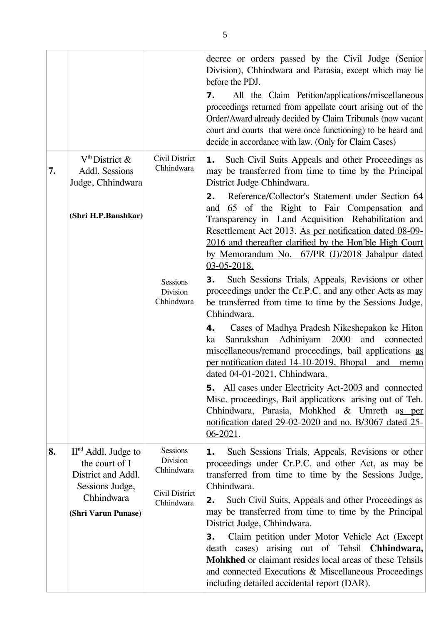|    |                                                                                                                       |                                                                                  | decree or orders passed by the Civil Judge (Senior<br>Division), Chhindwara and Parasia, except which may lie<br>before the PDJ.<br>All the Claim Petition/applications/miscellaneous<br>7.<br>proceedings returned from appellate court arising out of the<br>Order/Award already decided by Claim Tribunals (now vacant<br>court and courts that were once functioning) to be heard and<br>decide in accordance with law. (Only for Claim Cases)                                                                                                                                                                                                                                                                                                                                                                                                                                                                                                                                                                                                                                                                                                                                                                            |
|----|-----------------------------------------------------------------------------------------------------------------------|----------------------------------------------------------------------------------|-------------------------------------------------------------------------------------------------------------------------------------------------------------------------------------------------------------------------------------------------------------------------------------------------------------------------------------------------------------------------------------------------------------------------------------------------------------------------------------------------------------------------------------------------------------------------------------------------------------------------------------------------------------------------------------------------------------------------------------------------------------------------------------------------------------------------------------------------------------------------------------------------------------------------------------------------------------------------------------------------------------------------------------------------------------------------------------------------------------------------------------------------------------------------------------------------------------------------------|
| 7. | $Vth$ District &<br>Addl. Sessions<br>Judge, Chhindwara<br>(Shri H.P.Banshkar)                                        | Civil District<br>Chhindwara<br><b>Sessions</b><br><b>Division</b><br>Chhindwara | <b>1.</b> Such Civil Suits Appeals and other Proceedings as<br>may be transferred from time to time by the Principal<br>District Judge Chhindwara.<br>Reference/Collector's Statement under Section 64<br>2.<br>and 65 of the Right to Fair Compensation and<br>Transparency in Land Acquisition Rehabilitation and<br>Resettlement Act 2013. As per notification dated 08-09-<br>2016 and thereafter clarified by the Hon'ble High Court<br>by Memorandum No. 67/PR (J)/2018 Jabalpur dated<br>03-05-2018.<br>Such Sessions Trials, Appeals, Revisions or other<br>3.<br>proceedings under the Cr.P.C. and any other Acts as may<br>be transferred from time to time by the Sessions Judge,<br>Chhindwara.<br>Cases of Madhya Pradesh Nikeshepakon ke Hiton<br>4.<br>Sanrakshan Adhiniyam 2000<br>and connected<br>ka<br>miscellaneous/remand proceedings, bail applications as<br>per notification dated 14-10-2019, Bhopal and<br>memo<br>dated 04-01-2021, Chhindwara.<br>All cases under Electricity Act-2003 and connected<br>5.<br>Misc. proceedings, Bail applications arising out of Teh.<br>Chhindwara, Parasia, Mohkhed & Umreth as per<br>notification dated 29-02-2020 and no. B/3067 dated 25-<br>$06 - 2021$ . |
| 8. | $IInd$ Addl. Judge to<br>the court of I<br>District and Addl.<br>Sessions Judge,<br>Chhindwara<br>(Shri Varun Punase) | <b>Sessions</b><br>Division<br>Chhindwara<br>Civil District<br>Chhindwara        | Such Sessions Trials, Appeals, Revisions or other<br>1.<br>proceedings under Cr.P.C. and other Act, as may be<br>transferred from time to time by the Sessions Judge,<br>Chhindwara.<br>Such Civil Suits, Appeals and other Proceedings as<br>2.<br>may be transferred from time to time by the Principal<br>District Judge, Chhindwara.<br>Claim petition under Motor Vehicle Act (Except)<br>З.<br>death cases) arising out of Tehsil Chhindwara,<br><b>Mohkhed</b> or claimant resides local areas of these Tehsils<br>and connected Executions & Miscellaneous Proceedings<br>including detailed accidental report (DAR).                                                                                                                                                                                                                                                                                                                                                                                                                                                                                                                                                                                                 |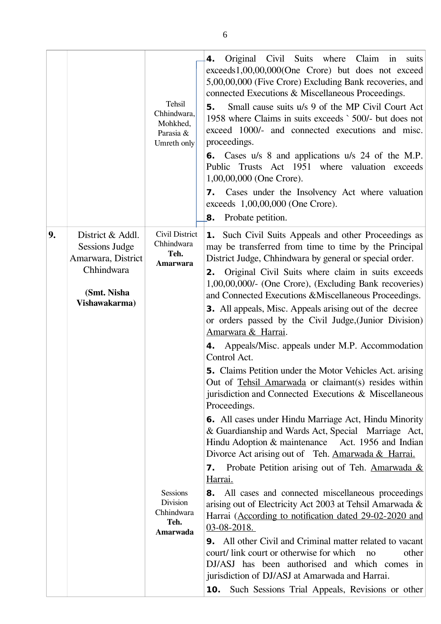|    |                                                                                                               | Tehsil<br>Chhindwara,<br>Mohkhed,<br>Parasia &<br>Umreth only                                                     | Original Civil Suits where<br>Claim<br>$\mathbf{in}$<br>4.<br>suits<br>exceeds1,00,00,000(One Crore) but does not exceed<br>5,00,00,000 (Five Crore) Excluding Bank recoveries, and<br>connected Executions & Miscellaneous Proceedings.<br>Small cause suits u/s 9 of the MP Civil Court Act<br>5.<br>1958 where Claims in suits exceeds `500/- but does not<br>exceed 1000/- and connected executions and misc.<br>proceedings.<br><b>6.</b> Cases u/s 8 and applications u/s 24 of the M.P.<br>Public Trusts Act 1951 where valuation exceeds<br>1,00,00,000 (One Crore).<br>7. Cases under the Insolvency Act where valuation<br>exceeds 1,00,00,000 (One Crore).<br>Probate petition.<br>8.                                                                                                                                                                                                                                                                                                                                                                                                                                                                                                                                                                                              |
|----|---------------------------------------------------------------------------------------------------------------|-------------------------------------------------------------------------------------------------------------------|-----------------------------------------------------------------------------------------------------------------------------------------------------------------------------------------------------------------------------------------------------------------------------------------------------------------------------------------------------------------------------------------------------------------------------------------------------------------------------------------------------------------------------------------------------------------------------------------------------------------------------------------------------------------------------------------------------------------------------------------------------------------------------------------------------------------------------------------------------------------------------------------------------------------------------------------------------------------------------------------------------------------------------------------------------------------------------------------------------------------------------------------------------------------------------------------------------------------------------------------------------------------------------------------------|
| 9. | District & Addl.<br><b>Sessions Judge</b><br>Amarwara, District<br>Chhindwara<br>(Smt. Nisha<br>Vishawakarma) | Civil District<br>Chhindwara<br>Teh.<br>Amarwara<br><b>Sessions</b><br>Division<br>Chhindwara<br>Teh.<br>Amarwada | 1. Such Civil Suits Appeals and other Proceedings as<br>may be transferred from time to time by the Principal<br>District Judge, Chhindwara by general or special order.<br>Original Civil Suits where claim in suits exceeds<br>2.<br>1,00,00,000/- (One Crore), (Excluding Bank recoveries)<br>and Connected Executions & Miscellaneous Proceedings.<br><b>3.</b> All appeals, Misc. Appeals arising out of the decree<br>or orders passed by the Civil Judge, (Junior Division)<br>Amarwara & Harrai.<br>4. Appeals/Misc. appeals under M.P. Accommodation<br>Control Act.<br><b>5.</b> Claims Petition under the Motor Vehicles Act. arising<br>Out of Tehsil Amarwada or claimant(s) resides within<br>jurisdiction and Connected Executions & Miscellaneous<br>Proceedings.<br><b>6.</b> All cases under Hindu Marriage Act, Hindu Minority<br>& Guardianship and Wards Act, Special Marriage Act,<br>Hindu Adoption & maintenance Act. 1956 and Indian<br>Divorce Act arising out of Teh. Amarwada & Harrai.<br><b>7.</b> Probate Petition arising out of Teh. Amarwada &<br>Harrai.<br>All cases and connected miscellaneous proceedings<br>8.<br>arising out of Electricity Act 2003 at Tehsil Amarwada &<br>Harrai (According to notification dated 29-02-2020 and<br>$03-08-2018.$ |
|    |                                                                                                               |                                                                                                                   | <b>9.</b> All other Civil and Criminal matter related to vacant<br>court/ link court or otherwise for which<br>other<br>no<br>DJ/ASJ has been authorised and which comes in<br>jurisdiction of DJ/ASJ at Amarwada and Harrai.<br>Such Sessions Trial Appeals, Revisions or other<br>10.                                                                                                                                                                                                                                                                                                                                                                                                                                                                                                                                                                                                                                                                                                                                                                                                                                                                                                                                                                                                       |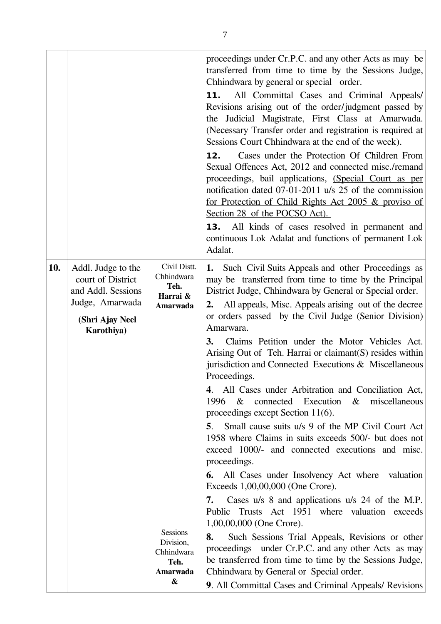|     |                                                                                                                   |                                                                | proceedings under Cr.P.C. and any other Acts as may be<br>transferred from time to time by the Sessions Judge,<br>Chhindwara by general or special order.<br>All Committal Cases and Criminal Appeals/<br>11.<br>Revisions arising out of the order/judgment passed by<br>the Judicial Magistrate, First Class at Amarwada.<br>(Necessary Transfer order and registration is required at<br>Sessions Court Chhindwara at the end of the week).<br>Cases under the Protection Of Children From<br>12.<br>Sexual Offences Act, 2012 and connected misc./remand<br>proceedings, bail applications, (Special Court as per<br>notification dated 07-01-2011 u/s 25 of the commission<br>for Protection of Child Rights Act 2005 & proviso of<br>Section 28 of the POCSO Act).<br><b>13.</b> All kinds of cases resolved in permanent and<br>continuous Lok Adalat and functions of permanent Lok<br>Adalat.                                                                                                             |
|-----|-------------------------------------------------------------------------------------------------------------------|----------------------------------------------------------------|--------------------------------------------------------------------------------------------------------------------------------------------------------------------------------------------------------------------------------------------------------------------------------------------------------------------------------------------------------------------------------------------------------------------------------------------------------------------------------------------------------------------------------------------------------------------------------------------------------------------------------------------------------------------------------------------------------------------------------------------------------------------------------------------------------------------------------------------------------------------------------------------------------------------------------------------------------------------------------------------------------------------|
| 10. | Addl. Judge to the<br>court of District<br>and Addl. Sessions<br>Judge, Amarwada<br>(Shri Ajay Neel<br>Karothiya) | Civil Distt.<br>Chhindwara<br>Teh.<br>Harrai &<br>Amarwada     | Such Civil Suits Appeals and other Proceedings as<br>1.<br>may be transferred from time to time by the Principal<br>District Judge, Chhindwara by General or Special order.<br>All appeals, Misc. Appeals arising out of the decree<br>2.<br>or orders passed by the Civil Judge (Senior Division)<br>Amarwara.<br>Claims Petition under the Motor Vehicles Act.<br>3.<br>Arising Out of Teh. Harrai or claimant(S) resides within<br>jurisdiction and Connected Executions $\&$ Miscellaneous<br>Proceedings.<br>4. All Cases under Arbitration and Conciliation Act,<br>connected Execution & miscellaneous<br>$\&$<br>1996<br>proceedings except Section 11(6).<br>Small cause suits u/s 9 of the MP Civil Court Act<br>5.<br>1958 where Claims in suits exceeds 500/- but does not<br>exceed 1000/- and connected executions and misc.<br>proceedings.<br>All Cases under Insolvency Act where<br>valuation<br>6.<br>Exceeds 1,00,00,000 (One Crore).<br>Cases u/s 8 and applications u/s 24 of the M.P.<br>7. |
|     |                                                                                                                   |                                                                | Public Trusts Act 1951 where valuation exceeds<br>$1,00,00,000$ (One Crore).                                                                                                                                                                                                                                                                                                                                                                                                                                                                                                                                                                                                                                                                                                                                                                                                                                                                                                                                       |
|     |                                                                                                                   | <b>Sessions</b><br>Division,<br>Chhindwara<br>Teh.<br>Amarwada | Such Sessions Trial Appeals, Revisions or other<br>8.<br>proceedings under Cr.P.C. and any other Acts as may<br>be transferred from time to time by the Sessions Judge,<br>Chhindwara by General or Special order.                                                                                                                                                                                                                                                                                                                                                                                                                                                                                                                                                                                                                                                                                                                                                                                                 |
|     |                                                                                                                   | &                                                              | 9. All Committal Cases and Criminal Appeals/ Revisions                                                                                                                                                                                                                                                                                                                                                                                                                                                                                                                                                                                                                                                                                                                                                                                                                                                                                                                                                             |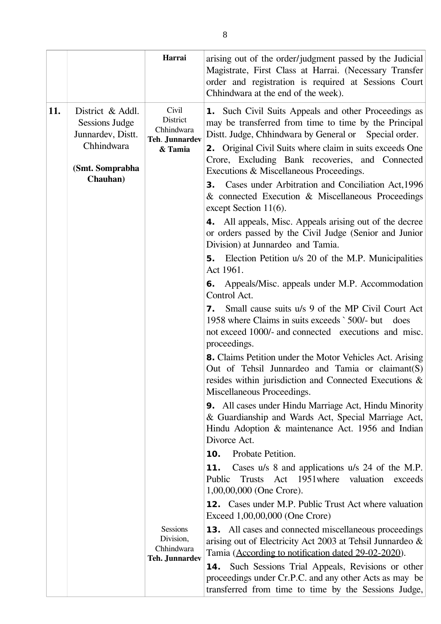|     |                                                                                          | Harrai                                                              | arising out of the order/judgment passed by the Judicial<br>Magistrate, First Class at Harrai. (Necessary Transfer<br>order and registration is required at Sessions Court<br>Chhindwara at the end of the week).                                                                                                                              |
|-----|------------------------------------------------------------------------------------------|---------------------------------------------------------------------|------------------------------------------------------------------------------------------------------------------------------------------------------------------------------------------------------------------------------------------------------------------------------------------------------------------------------------------------|
| 11. | District & Addl.<br>Sessions Judge<br>Junnardev, Distt.<br>Chhindwara<br>(Smt. Somprabha | Civil<br>District<br>Chhindwara<br><b>Teh. Junnardev</b><br>& Tamia | <b>1.</b> Such Civil Suits Appeals and other Proceedings as<br>may be transferred from time to time by the Principal<br>Distt. Judge, Chhindwara by General or Special order.<br><b>2.</b> Original Civil Suits where claim in suits exceeds One<br>Crore, Excluding Bank recoveries, and Connected<br>Executions & Miscellaneous Proceedings. |
|     | Chauhan)                                                                                 |                                                                     | Cases under Arbitration and Conciliation Act, 1996<br>3.<br>& connected Execution & Miscellaneous Proceedings<br>except Section $11(6)$ .                                                                                                                                                                                                      |
|     |                                                                                          |                                                                     | <b>4.</b> All appeals, Misc. Appeals arising out of the decree<br>or orders passed by the Civil Judge (Senior and Junior<br>Division) at Junnardeo and Tamia.                                                                                                                                                                                  |
|     |                                                                                          |                                                                     | <b>5.</b> Election Petition u/s 20 of the M.P. Municipalities<br>Act 1961.                                                                                                                                                                                                                                                                     |
|     |                                                                                          |                                                                     | Appeals/Misc. appeals under M.P. Accommodation<br>6.<br>Control Act.                                                                                                                                                                                                                                                                           |
|     |                                                                                          |                                                                     | Small cause suits u/s 9 of the MP Civil Court Act<br>7.<br>1958 where Claims in suits exceeds `500/- but<br>does<br>not exceed 1000/- and connected executions and misc.<br>proceedings.                                                                                                                                                       |
|     |                                                                                          |                                                                     | 8. Claims Petition under the Motor Vehicles Act. Arising<br>Out of Tehsil Junnardeo and Tamia or claimant(S)<br>resides within jurisdiction and Connected Executions &<br>Miscellaneous Proceedings.                                                                                                                                           |
|     |                                                                                          |                                                                     | <b>9.</b> All cases under Hindu Marriage Act, Hindu Minority<br>& Guardianship and Wards Act, Special Marriage Act,<br>Hindu Adoption & maintenance Act. 1956 and Indian<br>Divorce Act.                                                                                                                                                       |
|     |                                                                                          |                                                                     | Probate Petition.<br>10.                                                                                                                                                                                                                                                                                                                       |
|     |                                                                                          |                                                                     | 11.<br>Cases u/s 8 and applications u/s 24 of the M.P.<br>Act 1951 where<br>valuation<br>Public<br><b>Trusts</b><br>exceeds<br>1,00,00,000 (One Crore).                                                                                                                                                                                        |
|     |                                                                                          |                                                                     | <b>12.</b> Cases under M.P. Public Trust Act where valuation<br>Exceed 1,00,00,000 (One Crore)                                                                                                                                                                                                                                                 |
|     |                                                                                          | <b>Sessions</b><br>Division,<br>Chhindwara<br><b>Teh. Junnardev</b> | <b>13.</b> All cases and connected miscellaneous proceedings<br>arising out of Electricity Act 2003 at Tehsil Junnardeo &<br>Tamia (According to notification dated 29-02-2020).                                                                                                                                                               |
|     |                                                                                          |                                                                     | <b>14.</b> Such Sessions Trial Appeals, Revisions or other<br>proceedings under Cr.P.C. and any other Acts as may be<br>transferred from time to time by the Sessions Judge,                                                                                                                                                                   |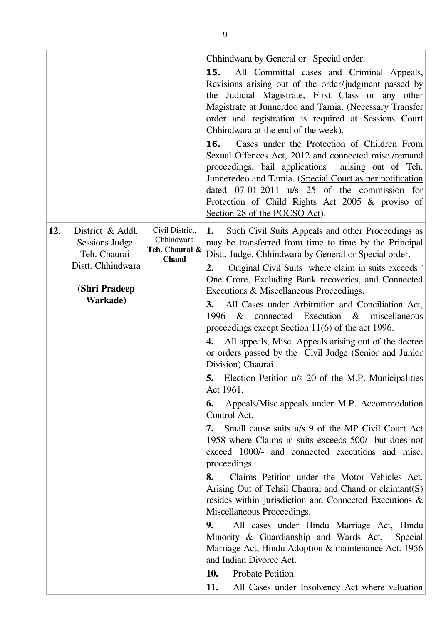|     |                                                                                                                     |                                                                 | Chhindwara by General or Special order.<br>All Committal cases and Criminal Appeals,<br>15.<br>Revisions arising out of the order/judgment passed by<br>the Judicial Magistrate, First Class or any other<br>Magistrate at Junnerdeo and Tamia. (Necessary Transfer<br>order and registration is required at Sessions Court<br>Chhindwara at the end of the week).<br>Cases under the Protection of Children From<br>16.<br>Sexual Offences Act, 2012 and connected misc./remand<br>proceedings, bail applications<br>arising out of Teh.<br>Junneredeo and Tamia. (Special Court as per notification<br>dated $07-01-2011$ u/s $25$ of the commission for<br>Protection of Child Rights Act 2005 & proviso of<br>Section 28 of the POCSO Act).                                                                                                                                                                                                                                                                                                                                                                                                                                                                                                                                                                                                                                                                                                                                          |
|-----|---------------------------------------------------------------------------------------------------------------------|-----------------------------------------------------------------|------------------------------------------------------------------------------------------------------------------------------------------------------------------------------------------------------------------------------------------------------------------------------------------------------------------------------------------------------------------------------------------------------------------------------------------------------------------------------------------------------------------------------------------------------------------------------------------------------------------------------------------------------------------------------------------------------------------------------------------------------------------------------------------------------------------------------------------------------------------------------------------------------------------------------------------------------------------------------------------------------------------------------------------------------------------------------------------------------------------------------------------------------------------------------------------------------------------------------------------------------------------------------------------------------------------------------------------------------------------------------------------------------------------------------------------------------------------------------------------|
| 12. | District & Addl.<br><b>Sessions Judge</b><br>Teh. Chaurai<br>Distt. Chhindwara<br>(Shri Pradeep<br><b>Warkade</b> ) | Civil District,<br>Chhindwara<br>Teh. Chaurai &<br><b>Chand</b> | Such Civil Suits Appeals and other Proceedings as<br>1.<br>may be transferred from time to time by the Principal<br>Distt. Judge, Chhindwara by General or Special order.<br>Original Civil Suits where claim in suits exceeds<br>2.<br>One Crore, Excluding Bank recoveries, and Connected<br>Executions & Miscellaneous Proceedings.<br>All Cases under Arbitration and Conciliation Act,<br><b>3.</b><br>1996 & connected Execution & miscellaneous<br>proceedings except Section 11(6) of the act 1996.<br>All appeals, Misc. Appeals arising out of the decree<br>4.<br>or orders passed by the Civil Judge (Senior and Junior<br>Division) Chaurai.<br>5. Election Petition u/s 20 of the M.P. Municipalities<br>Act 1961.<br>Appeals/Misc.appeals under M.P. Accommodation<br>6.<br>Control Act.<br>Small cause suits u/s 9 of the MP Civil Court Act<br>7.<br>1958 where Claims in suits exceeds 500/- but does not<br>exceed 1000/- and connected executions and misc.<br>proceedings.<br>8.<br>Claims Petition under the Motor Vehicles Act.<br>Arising Out of Tehsil Chaurai and Chand or claimant(S)<br>resides within jurisdiction and Connected Executions &<br>Miscellaneous Proceedings.<br>9.<br>All cases under Hindu Marriage Act, Hindu<br>Minority & Guardianship and Wards Act,<br>Special<br>Marriage Act, Hindu Adoption & maintenance Act. 1956<br>and Indian Divorce Act.<br>10.<br>Probate Petition.<br>11.<br>All Cases under Insolvency Act where valuation |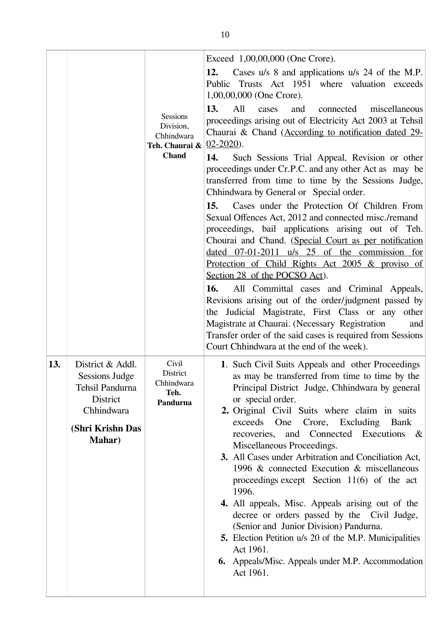|     |                                                                                                                              | <b>Sessions</b><br>Division,<br>Chhindwara<br>Teh. Chaurai & $02-2020$ ).<br><b>Chand</b> | Exceed 1,00,00,000 (One Crore).<br>Cases u/s 8 and applications u/s 24 of the M.P.<br>12.<br>Trusts Act 1951 where valuation exceeds<br>Public<br>1,00,00,000 (One Crore).<br>13.<br>All<br>cases<br>and<br>connected<br>miscellaneous<br>proceedings arising out of Electricity Act 2003 at Tehsil<br>Chaurai & Chand (According to notification dated 29-<br>14.<br>Such Sessions Trial Appeal, Revision or other<br>proceedings under Cr.P.C. and any other Act as may be<br>transferred from time to time by the Sessions Judge,<br>Chhindwara by General or Special order.<br>Cases under the Protection Of Children From<br>15.<br>Sexual Offences Act, 2012 and connected misc./remand<br>proceedings, bail applications arising out of Teh.<br>Chourai and Chand. (Special Court as per notification<br>dated $07-01-2011$ u/s $25$ of the commission for<br>Protection of Child Rights Act 2005 & proviso of<br>Section 28 of the POCSO Act).<br>All Committal cases and Criminal Appeals,<br>16.<br>Revisions arising out of the order/judgment passed by<br>the Judicial Magistrate, First Class or any<br>other<br>Magistrate at Chaurai. (Necessary Registration<br>and<br>Transfer order of the said cases is required from Sessions<br>Court Chhindwara at the end of the week). |
|-----|------------------------------------------------------------------------------------------------------------------------------|-------------------------------------------------------------------------------------------|-------------------------------------------------------------------------------------------------------------------------------------------------------------------------------------------------------------------------------------------------------------------------------------------------------------------------------------------------------------------------------------------------------------------------------------------------------------------------------------------------------------------------------------------------------------------------------------------------------------------------------------------------------------------------------------------------------------------------------------------------------------------------------------------------------------------------------------------------------------------------------------------------------------------------------------------------------------------------------------------------------------------------------------------------------------------------------------------------------------------------------------------------------------------------------------------------------------------------------------------------------------------------------------------------|
| 13. | District & Addl.<br><b>Sessions Judge</b><br>Tehsil Pandurna<br>District<br>Chhindwara<br>(Shri Krishn Das<br><b>Mahar</b> ) | Civil<br>District<br>Chhindwara<br>Teh.<br>Pandurna                                       | 1. Such Civil Suits Appeals and other Proceedings<br>as may be transferred from time to time by the<br>Principal District Judge, Chhindwara by general<br>or special order.<br>2. Original Civil Suits where claim in suits<br>exceeds One<br>Crore, Excluding Bank<br>recoveries, and Connected Executions &<br>Miscellaneous Proceedings.<br>3. All Cases under Arbitration and Conciliation Act,<br>1996 & connected Execution & miscellaneous<br>proceedings except Section $11(6)$ of the act<br>1996.<br>4. All appeals, Misc. Appeals arising out of the<br>decree or orders passed by the Civil Judge,<br>(Senior and Junior Division) Pandurna.<br><b>5.</b> Election Petition u/s 20 of the M.P. Municipalities<br>Act 1961.<br><b>6.</b> Appeals/Misc. Appeals under M.P. Accommodation<br>Act 1961.                                                                                                                                                                                                                                                                                                                                                                                                                                                                                 |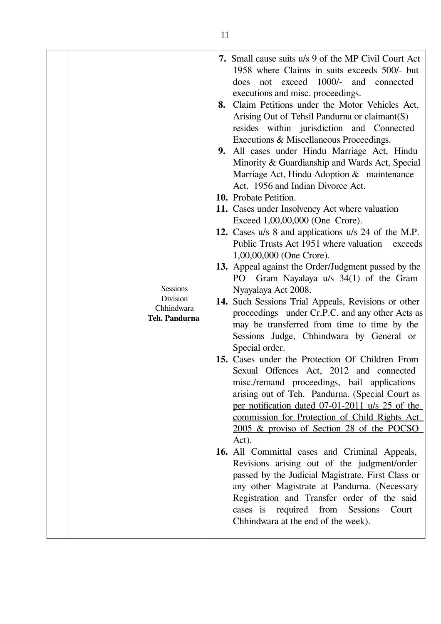| <b>Sessions</b><br>Division<br>Chhindwara<br>Teh. Pandurna | 7. Small cause suits u/s 9 of the MP Civil Court Act<br>1958 where Claims in suits exceeds 500/- but<br>exceed 1000/- and connected<br>does<br>not<br>executions and misc. proceedings.<br>8. Claim Petitions under the Motor Vehicles Act.<br>Arising Out of Tehsil Pandurna or claimant(S)<br>resides within jurisdiction and Connected<br>Executions & Miscellaneous Proceedings.<br>9. All cases under Hindu Marriage Act, Hindu<br>Minority & Guardianship and Wards Act, Special<br>Marriage Act, Hindu Adoption & maintenance<br>Act. 1956 and Indian Divorce Act.<br>10. Probate Petition.<br>11. Cases under Insolvency Act where valuation<br>Exceed 1,00,00,000 (One Crore).<br>12. Cases u/s 8 and applications u/s 24 of the M.P.<br>Public Trusts Act 1951 where valuation exceeds<br>$1,00,00,000$ (One Crore).<br>13. Appeal against the Order/Judgment passed by the<br>Gram Nayalaya u/s 34(1) of the Gram<br>PO –<br>Nyayalaya Act 2008.<br>14. Such Sessions Trial Appeals, Revisions or other<br>proceedings under Cr.P.C. and any other Acts as<br>may be transferred from time to time by the<br>Sessions Judge, Chhindwara by General or<br>Special order.<br>15. Cases under the Protection Of Children From<br>Sexual Offences Act, 2012 and connected<br>misc./remand proceedings, bail applications<br>arising out of Teh. Pandurna. (Special Court as<br>per notification dated 07-01-2011 u/s 25 of the<br>commission for Protection of Child Rights Act<br>2005 & proviso of Section 28 of the POCSO<br>$Act)$ .<br>16. All Committal cases and Criminal Appeals,<br>Revisions arising out of the judgment/order<br>passed by the Judicial Magistrate, First Class or<br>any other Magistrate at Pandurna. (Necessary<br>Registration and Transfer order of the said<br>cases is required from Sessions<br>Court<br>Chhindwara at the end of the week). |
|------------------------------------------------------------|----------------------------------------------------------------------------------------------------------------------------------------------------------------------------------------------------------------------------------------------------------------------------------------------------------------------------------------------------------------------------------------------------------------------------------------------------------------------------------------------------------------------------------------------------------------------------------------------------------------------------------------------------------------------------------------------------------------------------------------------------------------------------------------------------------------------------------------------------------------------------------------------------------------------------------------------------------------------------------------------------------------------------------------------------------------------------------------------------------------------------------------------------------------------------------------------------------------------------------------------------------------------------------------------------------------------------------------------------------------------------------------------------------------------------------------------------------------------------------------------------------------------------------------------------------------------------------------------------------------------------------------------------------------------------------------------------------------------------------------------------------------------------------------------------------------------------------------------------------------------------------------|
|------------------------------------------------------------|----------------------------------------------------------------------------------------------------------------------------------------------------------------------------------------------------------------------------------------------------------------------------------------------------------------------------------------------------------------------------------------------------------------------------------------------------------------------------------------------------------------------------------------------------------------------------------------------------------------------------------------------------------------------------------------------------------------------------------------------------------------------------------------------------------------------------------------------------------------------------------------------------------------------------------------------------------------------------------------------------------------------------------------------------------------------------------------------------------------------------------------------------------------------------------------------------------------------------------------------------------------------------------------------------------------------------------------------------------------------------------------------------------------------------------------------------------------------------------------------------------------------------------------------------------------------------------------------------------------------------------------------------------------------------------------------------------------------------------------------------------------------------------------------------------------------------------------------------------------------------------------|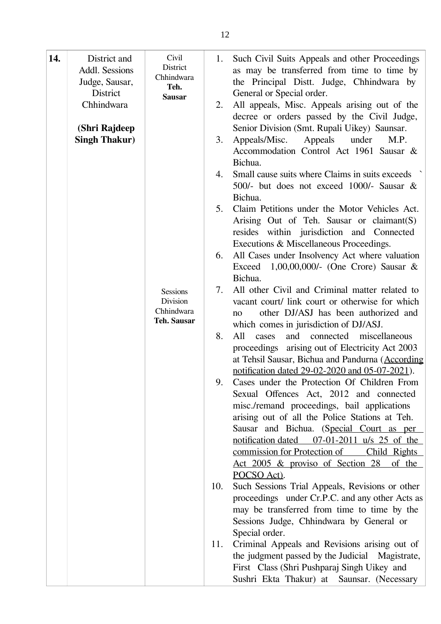| 14. | District and<br>Addl. Sessions | Civil<br>District<br>Chhindwara           | 1.  | Such Civil Suits Appeals and other Proceedings<br>as may be transferred from time to time by                                                         |
|-----|--------------------------------|-------------------------------------------|-----|------------------------------------------------------------------------------------------------------------------------------------------------------|
|     | Judge, Sausar,<br>District     | Teh.<br><b>Sausar</b>                     |     | the Principal Distt. Judge, Chhindwara by<br>General or Special order.                                                                               |
|     | Chhindwara                     |                                           | 2.  | All appeals, Misc. Appeals arising out of the<br>decree or orders passed by the Civil Judge,                                                         |
|     | <b>Singh Thakur)</b>           | (Shri Rajdeep                             | 3.  | Senior Division (Smt. Rupali Uikey) Saunsar.<br>Appeals/Misc.<br>Appeals<br>under<br>M.P.<br>Accommodation Control Act 1961 Sausar &<br>Bichua.      |
|     |                                |                                           | 4.  | Small cause suits where Claims in suits exceeds<br>500/- but does not exceed 1000/- Sausar &<br>Bichua.                                              |
|     |                                |                                           | 5.  | Claim Petitions under the Motor Vehicles Act.<br>Arising Out of Teh. Sausar or claimant(S)<br>resides within jurisdiction and Connected              |
|     |                                |                                           | 6.  | Executions & Miscellaneous Proceedings.<br>All Cases under Insolvency Act where valuation<br>Exceed 1,00,00,000/- (One Crore) Sausar $\&$<br>Bichua. |
|     |                                | <b>Sessions</b><br>Division<br>Chhindwara | 7.  | All other Civil and Criminal matter related to<br>vacant court/ link court or otherwise for which<br>other DJ/ASJ has been authorized and<br>no      |
|     |                                | <b>Teh. Sausar</b>                        | 8.  | which comes in jurisdiction of DJ/ASJ.<br>All<br>connected<br>miscellaneous<br>and<br>cases<br>proceedings arising out of Electricity Act 2003       |
|     |                                |                                           | 9.  | at Tehsil Sausar, Bichua and Pandurna (According<br>notification dated 29-02-2020 and 05-07-2021).<br>Cases under the Protection Of Children From    |
|     |                                |                                           |     | Sexual Offences Act, 2012 and connected<br>misc./remand proceedings, bail applications<br>arising out of all the Police Stations at Teh.             |
|     |                                |                                           |     | Sausar and Bichua. (Special Court as per<br>notification dated 07-01-2011 u/s 25 of the<br><u>commission for Protection of</u><br>Child Rights       |
|     |                                |                                           |     | <u>Act 2005 &amp; proviso of Section 28 of the</u><br>POCSO Act).                                                                                    |
|     |                                |                                           | 10. | Such Sessions Trial Appeals, Revisions or other<br>proceedings under Cr.P.C. and any other Acts as<br>may be transferred from time to time by the    |
|     |                                |                                           | 11. | Sessions Judge, Chhindwara by General or<br>Special order.<br>Criminal Appeals and Revisions arising out of                                          |
|     |                                |                                           |     | the judgment passed by the Judicial Magistrate,<br>First Class (Shri Pushparaj Singh Uikey and<br>Sushri Ekta Thakur) at Saunsar. (Necessary         |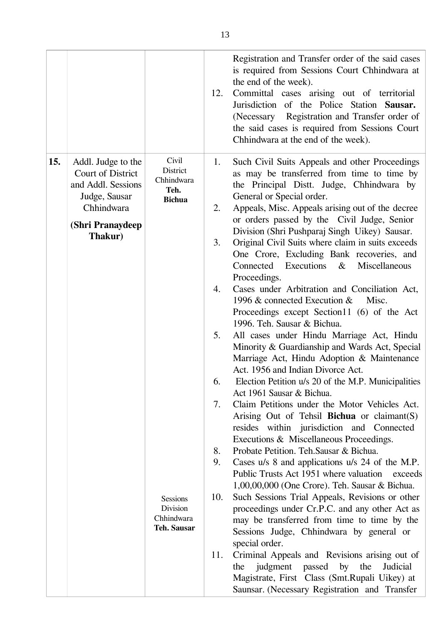|     |                                                                                                                             |                                                                                                                             | 12.                                                              | Registration and Transfer order of the said cases<br>is required from Sessions Court Chhindwara at<br>the end of the week).<br>Committal cases arising out of territorial<br>Jurisdiction of the Police Station Sausar.<br>(Necessary Registration and Transfer order of<br>the said cases is required from Sessions Court<br>Chhindwara at the end of the week).                                                                                                                                                                                                                                                                                                                                                                                                                                                                                                                                                                                                                                                                                                                                                                                                                                                                                                                                                                                                                                                                                                                                                                                                                                                                                                                                                                                                |
|-----|-----------------------------------------------------------------------------------------------------------------------------|-----------------------------------------------------------------------------------------------------------------------------|------------------------------------------------------------------|------------------------------------------------------------------------------------------------------------------------------------------------------------------------------------------------------------------------------------------------------------------------------------------------------------------------------------------------------------------------------------------------------------------------------------------------------------------------------------------------------------------------------------------------------------------------------------------------------------------------------------------------------------------------------------------------------------------------------------------------------------------------------------------------------------------------------------------------------------------------------------------------------------------------------------------------------------------------------------------------------------------------------------------------------------------------------------------------------------------------------------------------------------------------------------------------------------------------------------------------------------------------------------------------------------------------------------------------------------------------------------------------------------------------------------------------------------------------------------------------------------------------------------------------------------------------------------------------------------------------------------------------------------------------------------------------------------------------------------------------------------------|
| 15. | Addl. Judge to the<br>Court of District<br>and Addl. Sessions<br>Judge, Sausar<br>Chhindwara<br>(Shri Pranaydeep<br>Thakur) | Civil<br>District<br>Chhindwara<br>Teh.<br><b>Bichua</b><br><b>Sessions</b><br>Division<br>Chhindwara<br><b>Teh. Sausar</b> | 1.<br>2.<br>3.<br>4.<br>5.<br>6.<br>7.<br>8.<br>9.<br>10.<br>11. | Such Civil Suits Appeals and other Proceedings<br>as may be transferred from time to time by<br>the Principal Distt. Judge, Chhindwara by<br>General or Special order.<br>Appeals, Misc. Appeals arising out of the decree<br>or orders passed by the Civil Judge, Senior<br>Division (Shri Pushparaj Singh Uikey) Sausar.<br>Original Civil Suits where claim in suits exceeds<br>One Crore, Excluding Bank recoveries, and<br>Executions<br>Connected<br>Miscellaneous<br>$\&$<br>Proceedings.<br>Cases under Arbitration and Conciliation Act,<br>1996 $\&$ connected Execution $\&$<br>Misc.<br>Proceedings except Section11 (6) of the Act<br>1996. Teh. Sausar & Bichua.<br>All cases under Hindu Marriage Act, Hindu<br>Minority & Guardianship and Wards Act, Special<br>Marriage Act, Hindu Adoption & Maintenance<br>Act. 1956 and Indian Divorce Act.<br>Election Petition u/s 20 of the M.P. Municipalities<br>Act 1961 Sausar & Bichua.<br>Claim Petitions under the Motor Vehicles Act.<br>Arising Out of Tehsil Bichua or claimant(S)<br>resides within jurisdiction and Connected<br>Executions & Miscellaneous Proceedings.<br>Probate Petition. Teh. Sausar & Bichua.<br>Cases u/s 8 and applications u/s 24 of the M.P.<br>Public Trusts Act 1951 where valuation exceeds<br>1,00,00,000 (One Crore). Teh. Sausar & Bichua.<br>Such Sessions Trial Appeals, Revisions or other<br>proceedings under Cr.P.C. and any other Act as<br>may be transferred from time to time by the<br>Sessions Judge, Chhindwara by general or<br>special order.<br>Criminal Appeals and Revisions arising out of<br>judgment passed by the<br>Judicial<br>the<br>Magistrate, First Class (Smt.Rupali Uikey) at<br>Saunsar. (Necessary Registration and Transfer |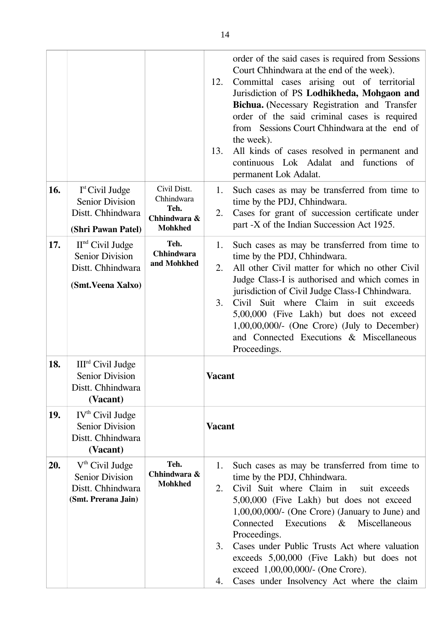|            |                                                                                          |                                                    |                      | order of the said cases is required from Sessions                                                                                                                                                                                                                                                                                                                                                                                                                     |
|------------|------------------------------------------------------------------------------------------|----------------------------------------------------|----------------------|-----------------------------------------------------------------------------------------------------------------------------------------------------------------------------------------------------------------------------------------------------------------------------------------------------------------------------------------------------------------------------------------------------------------------------------------------------------------------|
|            |                                                                                          |                                                    | 12.                  | Court Chhindwara at the end of the week).<br>Committal cases arising out of territorial<br>Jurisdiction of PS Lodhikheda, Mohgaon and<br>Bichua. (Necessary Registration and Transfer<br>order of the said criminal cases is required<br>from Sessions Court Chhindwara at the end of<br>the week).                                                                                                                                                                   |
|            |                                                                                          |                                                    | 13.                  | All kinds of cases resolved in permanent and<br>continuous Lok Adalat and functions<br><sub>of</sub><br>permanent Lok Adalat.                                                                                                                                                                                                                                                                                                                                         |
| 16.        | $Ist$ Civil Judge<br><b>Senior Division</b><br>Distt. Chhindwara                         | Civil Distt.<br>Chhindwara<br>Teh.<br>Chhindwara & | 1.<br>2.             | Such cases as may be transferred from time to<br>time by the PDJ, Chhindwara.<br>Cases for grant of succession certificate under                                                                                                                                                                                                                                                                                                                                      |
|            | (Shri Pawan Patel)                                                                       | <b>Mohkhed</b>                                     |                      | part -X of the Indian Succession Act 1925.                                                                                                                                                                                                                                                                                                                                                                                                                            |
| 17.        | $IInd$ Civil Judge<br><b>Senior Division</b><br>Distt. Chhindwara                        | Teh.<br><b>Chhindwara</b><br>and Mohkhed           | 1.<br>2.             | Such cases as may be transferred from time to<br>time by the PDJ, Chhindwara.<br>All other Civil matter for which no other Civil                                                                                                                                                                                                                                                                                                                                      |
|            | (Smt. Veena Xalxo)                                                                       |                                                    |                      | Judge Class-I is authorised and which comes in                                                                                                                                                                                                                                                                                                                                                                                                                        |
|            |                                                                                          |                                                    | 3.                   | jurisdiction of Civil Judge Class-I Chhindwara.<br>Civil Suit where Claim in suit exceeds<br>5,00,000 (Five Lakh) but does not exceed<br>$1,00,00,000/$ - (One Crore) (July to December)<br>and Connected Executions & Miscellaneous<br>Proceedings.                                                                                                                                                                                                                  |
| 18.        | III <sup>rd</sup> Civil Judge<br><b>Senior Division</b><br>Distt. Chhindwara<br>(Vacant) |                                                    | Vacant               |                                                                                                                                                                                                                                                                                                                                                                                                                                                                       |
| <b>19.</b> | IV <sup>th</sup> Civil Judge<br><b>Senior Division</b><br>Distt. Chhindwara<br>(Vacant)  |                                                    | <b>Vacant</b>        |                                                                                                                                                                                                                                                                                                                                                                                                                                                                       |
| 20.        | $Vth$ Civil Judge<br><b>Senior Division</b><br>Distt. Chhindwara<br>(Smt. Prerana Jain)  | Teh.<br>Chhindwara &<br><b>Mohkhed</b>             | 1.<br>2.<br>3.<br>4. | Such cases as may be transferred from time to<br>time by the PDJ, Chhindwara.<br>Civil Suit where Claim in<br>suit exceeds<br>5,00,000 (Five Lakh) but does not exceed<br>$1,00,00,000/$ - (One Crore) (January to June) and<br>Connected Executions & Miscellaneous<br>Proceedings.<br>Cases under Public Trusts Act where valuation<br>exceeds 5,00,000 (Five Lakh) but does not<br>exceed 1,00,00,000/- (One Crore).<br>Cases under Insolvency Act where the claim |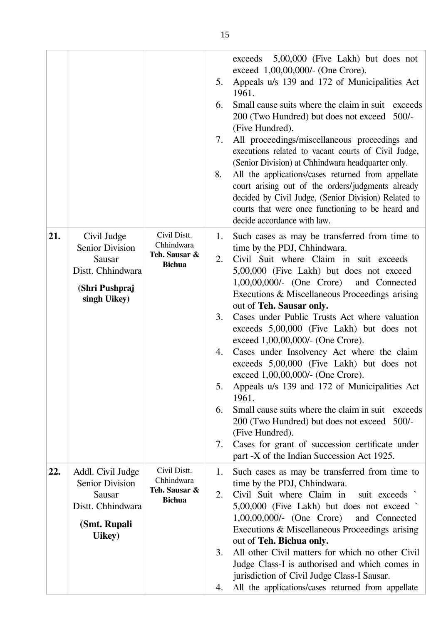|     |                                                                                                               |                                                              | 5.<br>6.<br>7.<br>8.                   | 5,00,000 (Five Lakh) but does not<br>exceeds<br>exceed 1,00,00,000/- (One Crore).<br>Appeals u/s 139 and 172 of Municipalities Act<br>1961.<br>Small cause suits where the claim in suit exceeds<br>200 (Two Hundred) but does not exceed 500/-<br>(Five Hundred).<br>All proceedings/miscellaneous proceedings and<br>executions related to vacant courts of Civil Judge,<br>(Senior Division) at Chhindwara headquarter only.<br>All the applications/cases returned from appellate<br>court arising out of the orders/judgments already<br>decided by Civil Judge, (Senior Division) Related to<br>courts that were once functioning to be heard and<br>decide accordance with law.                                                                                                                                                                    |
|-----|---------------------------------------------------------------------------------------------------------------|--------------------------------------------------------------|----------------------------------------|-----------------------------------------------------------------------------------------------------------------------------------------------------------------------------------------------------------------------------------------------------------------------------------------------------------------------------------------------------------------------------------------------------------------------------------------------------------------------------------------------------------------------------------------------------------------------------------------------------------------------------------------------------------------------------------------------------------------------------------------------------------------------------------------------------------------------------------------------------------|
| 21. | Civil Judge<br><b>Senior Division</b><br><b>Sausar</b><br>Distt. Chhindwara<br>(Shri Pushpraj<br>singh Uikey) | Civil Distt.<br>Chhindwara<br>Teh. Sausar &<br><b>Bichua</b> | 1.<br>2.<br>3.<br>4.<br>5.<br>6.<br>7. | Such cases as may be transferred from time to<br>time by the PDJ, Chhindwara.<br>Civil Suit where Claim in suit exceeds<br>5,00,000 (Five Lakh) but does not exceed<br>1,00,00,000/- (One Crore) and Connected<br>Executions & Miscellaneous Proceedings arising<br>out of Teh. Sausar only.<br>Cases under Public Trusts Act where valuation<br>exceeds 5,00,000 (Five Lakh) but does not<br>exceed 1,00,00,000/- (One Crore).<br>Cases under Insolvency Act where the claim<br>exceeds 5,00,000 (Five Lakh) but does not<br>exceed 1,00,00,000/- (One Crore).<br>Appeals u/s 139 and 172 of Municipalities Act<br>1961.<br>Small cause suits where the claim in suit<br>exceeds<br>200 (Two Hundred) but does not exceed<br>$500/-$<br>(Five Hundred).<br>Cases for grant of succession certificate under<br>part -X of the Indian Succession Act 1925. |
| 22. | Addl. Civil Judge<br><b>Senior Division</b><br><b>Sausar</b><br>Distt. Chhindwara<br>(Smt. Rupali<br>Uikey)   | Civil Distt.<br>Chhindwara<br>Teh. Sausar &<br><b>Bichua</b> | 1.<br>2.<br>3.<br>4.                   | Such cases as may be transferred from time to<br>time by the PDJ, Chhindwara.<br>Civil Suit where Claim in<br>suit exceeds<br>5,00,000 (Five Lakh) but does not exceed<br>$1,00,00,000/$ - (One Crore)<br>and Connected<br>Executions & Miscellaneous Proceedings arising<br>out of Teh. Bichua only.<br>All other Civil matters for which no other Civil<br>Judge Class-I is authorised and which comes in<br>jurisdiction of Civil Judge Class-I Sausar.<br>All the applications/cases returned from appellate                                                                                                                                                                                                                                                                                                                                          |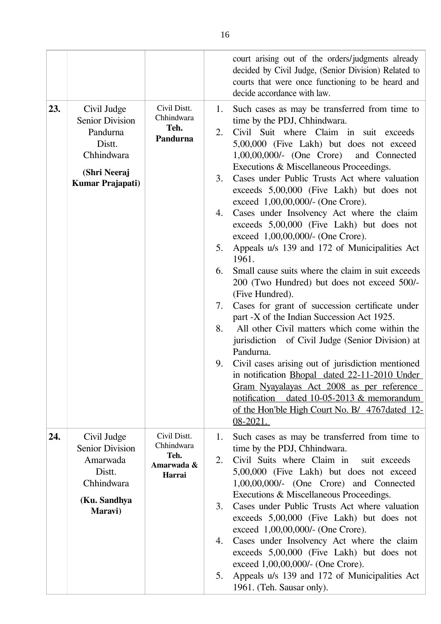|     |                                                                                                               |                                                            |                                                    | court arising out of the orders/judgments already<br>decided by Civil Judge, (Senior Division) Related to<br>courts that were once functioning to be heard and<br>decide accordance with law.                                                                                                                                                                                                                                                                                                                                                                                                                                                                                                                                                                                                                                                                                                                                                                                                                                                                                                                                                                                                            |
|-----|---------------------------------------------------------------------------------------------------------------|------------------------------------------------------------|----------------------------------------------------|----------------------------------------------------------------------------------------------------------------------------------------------------------------------------------------------------------------------------------------------------------------------------------------------------------------------------------------------------------------------------------------------------------------------------------------------------------------------------------------------------------------------------------------------------------------------------------------------------------------------------------------------------------------------------------------------------------------------------------------------------------------------------------------------------------------------------------------------------------------------------------------------------------------------------------------------------------------------------------------------------------------------------------------------------------------------------------------------------------------------------------------------------------------------------------------------------------|
| 23. | Civil Judge<br><b>Senior Division</b><br>Pandurna<br>Distt.<br>Chhindwara<br>(Shri Neeraj<br>Kumar Prajapati) | Civil Distt.<br>Chhindwara<br>Teh.<br>Pandurna             | 1.<br>2.<br>3.<br>4.<br>5.<br>6.<br>7.<br>8.<br>9. | Such cases as may be transferred from time to<br>time by the PDJ, Chhindwara.<br>Civil Suit where Claim in suit exceeds<br>5,00,000 (Five Lakh) but does not exceed<br>$1,00,00,000/$ - (One Crore)<br>and Connected<br>Executions & Miscellaneous Proceedings.<br>Cases under Public Trusts Act where valuation<br>exceeds 5,00,000 (Five Lakh) but does not<br>exceed 1,00,00,000/- (One Crore).<br>Cases under Insolvency Act where the claim<br>exceeds 5,00,000 (Five Lakh) but does not<br>exceed 1,00,00,000/- (One Crore).<br>Appeals u/s 139 and 172 of Municipalities Act<br>1961.<br>Small cause suits where the claim in suit exceeds<br>200 (Two Hundred) but does not exceed 500/-<br>(Five Hundred).<br>Cases for grant of succession certificate under<br>part -X of the Indian Succession Act 1925.<br>All other Civil matters which come within the<br>jurisdiction of Civil Judge (Senior Division) at<br>Pandurna.<br>Civil cases arising out of jurisdiction mentioned<br>in notification Bhopal dated 22-11-2010 Under<br>Gram Nyayalayas Act 2008 as per reference<br>notification dated 10-05-2013 & memorandum<br>of the Hon'ble High Court No. B/ 4767 dated 12-<br>$08-2021.$ |
| 24. | Civil Judge<br><b>Senior Division</b><br>Amarwada<br>Distt.<br>Chhindwara<br>(Ku. Sandhya<br>Maravi)          | Civil Distt.<br>Chhindwara<br>Teh.<br>Amarwada &<br>Harrai | 1.<br>2.<br>3.<br>4.<br>5.                         | Such cases as may be transferred from time to<br>time by the PDJ, Chhindwara.<br>Civil Suits where Claim in<br>suit exceeds<br>5,00,000 (Five Lakh) but does not exceed<br>1,00,00,000/- (One Crore) and Connected<br>Executions & Miscellaneous Proceedings.<br>Cases under Public Trusts Act where valuation<br>exceeds 5,00,000 (Five Lakh) but does not<br>exceed 1,00,00,000/- (One Crore).<br>Cases under Insolvency Act where the claim<br>exceeds 5,00,000 (Five Lakh) but does not<br>exceed 1,00,00,000/- (One Crore).<br>Appeals u/s 139 and 172 of Municipalities Act<br>1961. (Teh. Sausar only).                                                                                                                                                                                                                                                                                                                                                                                                                                                                                                                                                                                           |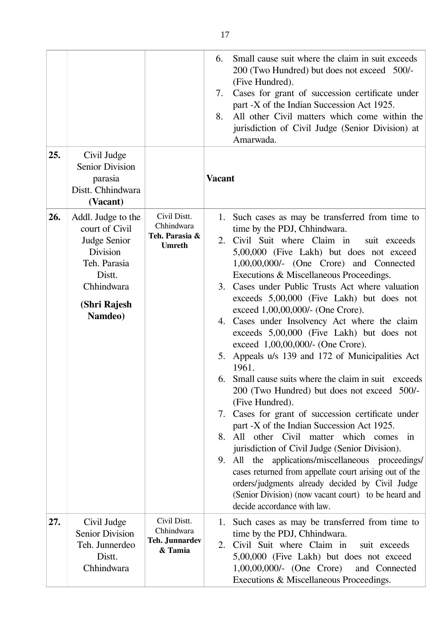|     |                                                                                                                                            |                                                                | 6.<br>7.<br>8. | Small cause suit where the claim in suit exceeds<br>200 (Two Hundred) but does not exceed 500/-<br>(Five Hundred).<br>Cases for grant of succession certificate under<br>part -X of the Indian Succession Act 1925.<br>All other Civil matters which come within the<br>jurisdiction of Civil Judge (Senior Division) at<br>Amarwada.                                                                                                                                                                                                                                                                                                                                                                                                                                                                                                                                                                                                                                                                                                                                                                                                                                                          |
|-----|--------------------------------------------------------------------------------------------------------------------------------------------|----------------------------------------------------------------|----------------|------------------------------------------------------------------------------------------------------------------------------------------------------------------------------------------------------------------------------------------------------------------------------------------------------------------------------------------------------------------------------------------------------------------------------------------------------------------------------------------------------------------------------------------------------------------------------------------------------------------------------------------------------------------------------------------------------------------------------------------------------------------------------------------------------------------------------------------------------------------------------------------------------------------------------------------------------------------------------------------------------------------------------------------------------------------------------------------------------------------------------------------------------------------------------------------------|
| 25. | Civil Judge<br><b>Senior Division</b><br>parasia<br>Distt. Chhindwara<br>(Vacant)                                                          |                                                                | <b>Vacant</b>  |                                                                                                                                                                                                                                                                                                                                                                                                                                                                                                                                                                                                                                                                                                                                                                                                                                                                                                                                                                                                                                                                                                                                                                                                |
| 26. | Addl. Judge to the<br>court of Civil<br>Judge Senior<br><b>Division</b><br>Teh. Parasia<br>Distt.<br>Chhindwara<br>(Shri Rajesh<br>Namdeo) | Civil Distt.<br>Chhindwara<br>Teh. Parasia &<br><b>Umreth</b>  | 8.             | 1. Such cases as may be transferred from time to<br>time by the PDJ, Chhindwara.<br>2. Civil Suit where Claim in<br>suit exceeds<br>5,00,000 (Five Lakh) but does not exceed<br>$1,00,00,000/$ - (One Crore) and Connected<br>Executions & Miscellaneous Proceedings.<br>3. Cases under Public Trusts Act where valuation<br>exceeds 5,00,000 (Five Lakh) but does not<br>exceed 1,00,00,000/- (One Crore).<br>4. Cases under Insolvency Act where the claim<br>exceeds 5,00,000 (Five Lakh) but does not<br>exceed 1,00,00,000/- (One Crore).<br>5. Appeals u/s 139 and 172 of Municipalities Act<br>1961.<br>6. Small cause suits where the claim in suit exceeds<br>200 (Two Hundred) but does not exceed 500/-<br>(Five Hundred).<br>7. Cases for grant of succession certificate under<br>part -X of the Indian Succession Act 1925.<br>All other Civil matter which comes in<br>jurisdiction of Civil Judge (Senior Division).<br>9. All the applications/miscellaneous proceedings/<br>cases returned from appellate court arising out of the<br>orders/judgments already decided by Civil Judge<br>(Senior Division) (now vacant court) to be heard and<br>decide accordance with law. |
| 27. | Civil Judge<br><b>Senior Division</b><br>Teh. Junnerdeo<br>Distt.<br>Chhindwara                                                            | Civil Distt.<br>Chhindwara<br><b>Teh. Junnardev</b><br>& Tamia | 2.             | 1. Such cases as may be transferred from time to<br>time by the PDJ, Chhindwara.<br>Civil Suit where Claim in<br>suit exceeds<br>5,00,000 (Five Lakh) but does not exceed<br>$1,00,00,000/(-$ (One Crore)<br>and Connected<br>Executions & Miscellaneous Proceedings.                                                                                                                                                                                                                                                                                                                                                                                                                                                                                                                                                                                                                                                                                                                                                                                                                                                                                                                          |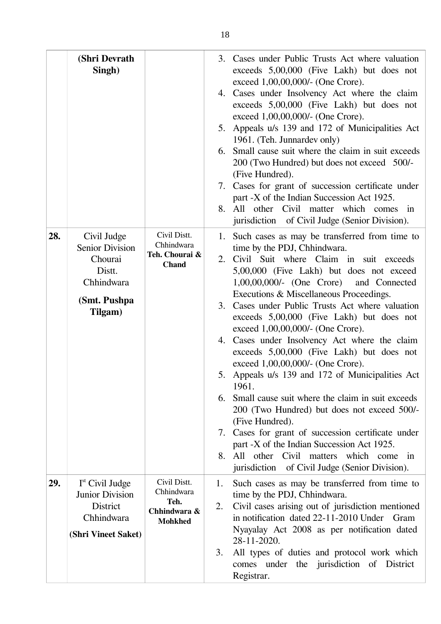|     | (Shri Devrath<br>Singh)                                                                              |                                                                      | 6.<br>7.<br>8. | 3. Cases under Public Trusts Act where valuation<br>exceeds 5,00,000 (Five Lakh) but does not<br>exceed 1,00,00,000/- (One Crore).<br>4. Cases under Insolvency Act where the claim<br>exceeds 5,00,000 (Five Lakh) but does not<br>exceed 1,00,00,000/- (One Crore).<br>5. Appeals u/s 139 and 172 of Municipalities Act<br>1961. (Teh. Junnardev only)<br>Small cause suit where the claim in suit exceeds<br>200 (Two Hundred) but does not exceed 500/-<br>(Five Hundred).<br>Cases for grant of succession certificate under<br>part -X of the Indian Succession Act 1925.<br>All other Civil matter which comes<br>$\sin$<br>jurisdiction of Civil Judge (Senior Division).                                                                                                                                                                                                                                          |
|-----|------------------------------------------------------------------------------------------------------|----------------------------------------------------------------------|----------------|----------------------------------------------------------------------------------------------------------------------------------------------------------------------------------------------------------------------------------------------------------------------------------------------------------------------------------------------------------------------------------------------------------------------------------------------------------------------------------------------------------------------------------------------------------------------------------------------------------------------------------------------------------------------------------------------------------------------------------------------------------------------------------------------------------------------------------------------------------------------------------------------------------------------------|
| 28. | Civil Judge<br><b>Senior Division</b><br>Chourai<br>Distt.<br>Chhindwara<br>(Smt. Pushpa)<br>Tilgam) | Civil Distt.<br>Chhindwara<br>Teh. Chourai &<br><b>Chand</b>         | 6.<br>8.       | 1. Such cases as may be transferred from time to<br>time by the PDJ, Chhindwara.<br>2. Civil Suit where Claim in suit exceeds<br>5,00,000 (Five Lakh) but does not exceed<br>1,00,00,000/- (One Crore) and Connected<br>Executions & Miscellaneous Proceedings.<br>3. Cases under Public Trusts Act where valuation<br>exceeds 5,00,000 (Five Lakh) but does not<br>exceed 1,00,00,000/- (One Crore).<br>4. Cases under Insolvency Act where the claim<br>exceeds 5,00,000 (Five Lakh) but does not<br>exceed 1,00,00,000/- (One Crore).<br>5. Appeals u/s 139 and 172 of Municipalities Act<br>1961.<br>Small cause suit where the claim in suit exceeds<br>200 (Two Hundred) but does not exceed 500/-<br>(Five Hundred).<br>7. Cases for grant of succession certificate under<br>part -X of the Indian Succession Act 1925.<br>All other Civil matters which come in<br>jurisdiction of Civil Judge (Senior Division). |
| 29. | $Ist$ Civil Judge<br><b>Junior Division</b><br><b>District</b><br>Chhindwara<br>(Shri Vineet Saket)  | Civil Distt.<br>Chhindwara<br>Teh.<br>Chhindwara &<br><b>Mohkhed</b> | 1.<br>2.<br>3. | Such cases as may be transferred from time to<br>time by the PDJ, Chhindwara.<br>Civil cases arising out of jurisdiction mentioned<br>in notification dated 22-11-2010 Under<br>Gram<br>Nyayalay Act 2008 as per notification dated<br>28-11-2020.<br>All types of duties and protocol work which<br>comes under the jurisdiction of District<br>Registrar.                                                                                                                                                                                                                                                                                                                                                                                                                                                                                                                                                                |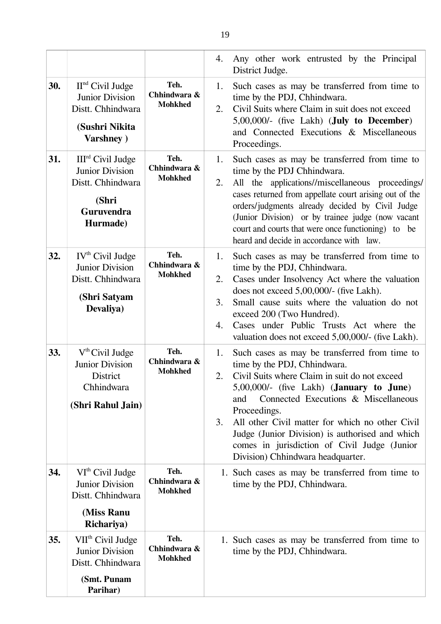|     |                                                                                                                        |                                        | 4.                   | Any other work entrusted by the Principal<br>District Judge.                                                                                                                                                                                                                                                                                                                                                                                     |
|-----|------------------------------------------------------------------------------------------------------------------------|----------------------------------------|----------------------|--------------------------------------------------------------------------------------------------------------------------------------------------------------------------------------------------------------------------------------------------------------------------------------------------------------------------------------------------------------------------------------------------------------------------------------------------|
| 30. | $IInd$ Civil Judge<br><b>Junior Division</b><br>Distt. Chhindwara<br>(Sushri Nikita<br>Varshney)                       | Teh.<br>Chhindwara &<br><b>Mohkhed</b> | 1.<br>2.             | Such cases as may be transferred from time to<br>time by the PDJ, Chhindwara.<br>Civil Suits where Claim in suit does not exceed<br>5,00,000/- (five Lakh) (July to December)<br>and Connected Executions & Miscellaneous<br>Proceedings.                                                                                                                                                                                                        |
| 31. | III <sup>rd</sup> Civil Judge<br><b>Junior Division</b><br>Distt. Chhindwara<br>(Shri<br><b>Guruvendra</b><br>Hurmade) | Teh.<br>Chhindwara &<br><b>Mohkhed</b> | 1.<br>2.             | Such cases as may be transferred from time to<br>time by the PDJ Chhindwara.<br>All the applications//miscellaneous proceedings/<br>cases returned from appellate court arising out of the<br>orders/judgments already decided by Civil Judge<br>(Junior Division) or by trainee judge (now vacant<br>court and courts that were once functioning) to be<br>heard and decide in accordance with law.                                             |
| 32. | IV <sup>th</sup> Civil Judge<br><b>Junior Division</b><br>Distt. Chhindwara<br>(Shri Satyam<br>Devaliya)               | Teh.<br>Chhindwara &<br><b>Mohkhed</b> | 1.<br>2.<br>3.<br>4. | Such cases as may be transferred from time to<br>time by the PDJ, Chhindwara.<br>Cases under Insolvency Act where the valuation<br>does not exceed 5,00,000/- (five Lakh).<br>Small cause suits where the valuation do not<br>exceed 200 (Two Hundred).<br>Cases under Public Trusts Act where the<br>valuation does not exceed 5,00,000/- (five Lakh).                                                                                          |
| 33. | $Vth$ Civil Judge<br><b>Junior Division</b><br><b>District</b><br>Chhindwara<br>(Shri Rahul Jain)                      | Teh.<br>Chhindwara &<br><b>Mohkhed</b> | 1.<br>2.<br>3.       | Such cases as may be transferred from time to<br>time by the PDJ, Chhindwara.<br>Civil Suits where Claim in suit do not exceed<br>$5,00,000/$ - (five Lakh) ( <b>January to June</b> )<br>Connected Executions & Miscellaneous<br>and<br>Proceedings.<br>All other Civil matter for which no other Civil<br>Judge (Junior Division) is authorised and which<br>comes in jurisdiction of Civil Judge (Junior<br>Division) Chhindwara headquarter. |
| 34. | $VIth$ Civil Judge<br><b>Junior Division</b><br>Distt. Chhindwara<br>(Miss Ranu<br>Richariya)                          | Teh.<br>Chhindwara &<br><b>Mohkhed</b> |                      | 1. Such cases as may be transferred from time to<br>time by the PDJ, Chhindwara.                                                                                                                                                                                                                                                                                                                                                                 |
| 35. | VII <sup>th</sup> Civil Judge<br><b>Junior Division</b><br>Distt. Chhindwara<br>(Smt. Punam<br>Parihar)                | Teh.<br>Chhindwara &<br><b>Mohkhed</b> |                      | 1. Such cases as may be transferred from time to<br>time by the PDJ, Chhindwara.                                                                                                                                                                                                                                                                                                                                                                 |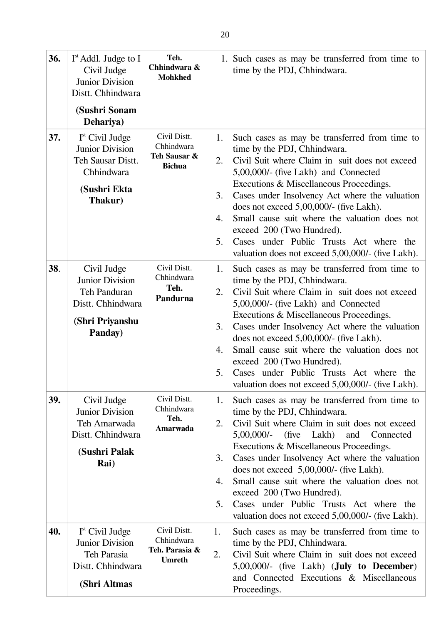| 36. | $Ist$ Addl. Judge to I<br>Civil Judge<br><b>Junior Division</b><br>Distt. Chhindwara<br>(Sushri Sonam<br>Dehariya)  | Teh.<br>Chhindwara &<br><b>Mohkhed</b>                        |                            | 1. Such cases as may be transferred from time to<br>time by the PDJ, Chhindwara.                                                                                                                                                                                                                                                                                                                                                                                                                             |
|-----|---------------------------------------------------------------------------------------------------------------------|---------------------------------------------------------------|----------------------------|--------------------------------------------------------------------------------------------------------------------------------------------------------------------------------------------------------------------------------------------------------------------------------------------------------------------------------------------------------------------------------------------------------------------------------------------------------------------------------------------------------------|
| 37. | I <sup>st</sup> Civil Judge<br><b>Junior Division</b><br>Teh Sausar Distt.<br>Chhindwara<br>(Sushri Ekta<br>Thakur) | Civil Distt.<br>Chhindwara<br>Teh Sausar &<br><b>Bichua</b>   | 1.<br>2.<br>3.<br>4.<br>5. | Such cases as may be transferred from time to<br>time by the PDJ, Chhindwara.<br>Civil Suit where Claim in suit does not exceed<br>5,00,000/- (five Lakh) and Connected<br>Executions & Miscellaneous Proceedings.<br>Cases under Insolvency Act where the valuation<br>does not exceed $5,00,000/$ - (five Lakh).<br>Small cause suit where the valuation does not<br>exceed 200 (Two Hundred).<br>Cases under Public Trusts Act where the<br>valuation does not exceed 5,00,000/- (five Lakh).             |
| 38. | Civil Judge<br><b>Junior Division</b><br>Teh Panduran<br>Distt. Chhindwara<br>(Shri Priyanshu<br>Panday)            | Civil Distt.<br>Chhindwara<br>Teh.<br>Pandurna                | 1.<br>2.<br>3.<br>4.<br>5. | Such cases as may be transferred from time to<br>time by the PDJ, Chhindwara.<br>Civil Suit where Claim in suit does not exceed<br>5,00,000/- (five Lakh) and Connected<br>Executions & Miscellaneous Proceedings.<br>Cases under Insolvency Act where the valuation<br>does not exceed 5,00,000/- (five Lakh).<br>Small cause suit where the valuation does not<br>exceed 200 (Two Hundred).<br>Cases under Public Trusts Act where the<br>valuation does not exceed 5,00,000/- (five Lakh).                |
| 39. | Civil Judge<br><b>Junior Division</b><br>Teh Amarwada<br>Distt. Chhindwara<br>(Sushri Palak<br>Rai)                 | Civil Distt.<br>Chhindwara<br>Teh.<br>Amarwada                | 1.<br>2.<br>3.<br>4.<br>5. | Such cases as may be transferred from time to<br>time by the PDJ, Chhindwara.<br>Civil Suit where Claim in suit does not exceed<br>(five Lakh)<br>$5,00,000/$ -<br>and<br>Connected<br>Executions & Miscellaneous Proceedings.<br>Cases under Insolvency Act where the valuation<br>does not exceed $5,00,000/$ - (five Lakh).<br>Small cause suit where the valuation does not<br>exceed 200 (Two Hundred).<br>Cases under Public Trusts Act where the<br>valuation does not exceed 5,00,000/- (five Lakh). |
| 40. | $Ist$ Civil Judge<br><b>Junior Division</b><br>Teh Parasia<br>Distt. Chhindwara<br>(Shri Altmas                     | Civil Distt.<br>Chhindwara<br>Teh. Parasia &<br><b>Umreth</b> | 1.<br>2.                   | Such cases as may be transferred from time to<br>time by the PDJ, Chhindwara.<br>Civil Suit where Claim in suit does not exceed<br>5,00,000/- (five Lakh) ( <b>July to December</b> )<br>and Connected Executions & Miscellaneous<br>Proceedings.                                                                                                                                                                                                                                                            |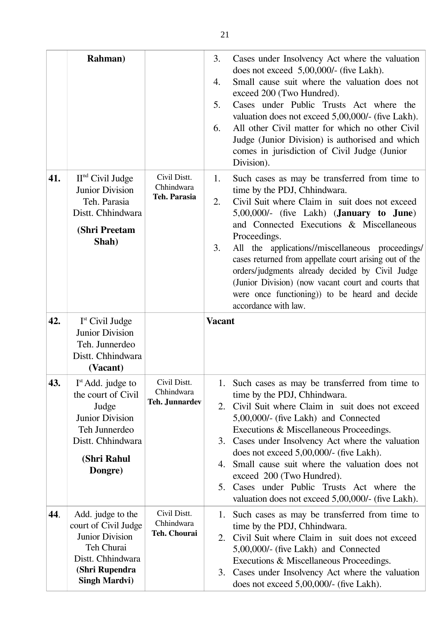|     | <b>Rahman</b> )                                                                                                                                   |                                                     | 3.<br>4.<br>5.<br>6. | Cases under Insolvency Act where the valuation<br>does not exceed $5,00,000/$ - (five Lakh).<br>Small cause suit where the valuation does not<br>exceed 200 (Two Hundred).<br>Cases under Public Trusts Act where the<br>valuation does not exceed 5,00,000/- (five Lakh).<br>All other Civil matter for which no other Civil<br>Judge (Junior Division) is authorised and which<br>comes in jurisdiction of Civil Judge (Junior<br>Division).                                                                                                        |
|-----|---------------------------------------------------------------------------------------------------------------------------------------------------|-----------------------------------------------------|----------------------|-------------------------------------------------------------------------------------------------------------------------------------------------------------------------------------------------------------------------------------------------------------------------------------------------------------------------------------------------------------------------------------------------------------------------------------------------------------------------------------------------------------------------------------------------------|
| 41. | $IInd$ Civil Judge<br><b>Junior Division</b><br>Teh. Parasia<br>Distt. Chhindwara<br>(Shri Preetam<br>Shah)                                       | Civil Distt.<br>Chhindwara<br><b>Teh. Parasia</b>   | 1.<br>2.<br>3.       | Such cases as may be transferred from time to<br>time by the PDJ, Chhindwara.<br>Civil Suit where Claim in suit does not exceed<br>$5,00,000/$ - (five Lakh) ( <b>January to June</b> )<br>and Connected Executions & Miscellaneous<br>Proceedings.<br>All the applications//miscellaneous proceedings/<br>cases returned from appellate court arising out of the<br>orders/judgments already decided by Civil Judge<br>(Junior Division) (now vacant court and courts that<br>were once functioning)) to be heard and decide<br>accordance with law. |
| 42. | $Ist$ Civil Judge<br><b>Junior Division</b><br>Teh. Junnerdeo<br>Distt. Chhindwara<br>(Vacant)                                                    |                                                     | <b>Vacant</b>        |                                                                                                                                                                                                                                                                                                                                                                                                                                                                                                                                                       |
| 43. | $Ist$ Add. judge to<br>the court of Civil<br>Judge<br><b>Junior Division</b><br>Teh Junnerdeo<br>Distt. Chhindwara<br>(Shri Rahul<br>Dongre)      | Civil Distt.<br>Chhindwara<br><b>Teh. Junnardev</b> | 4.<br>5.             | 1. Such cases as may be transferred from time to<br>time by the PDJ, Chhindwara.<br>2. Civil Suit where Claim in suit does not exceed<br>5,00,000/- (five Lakh) and Connected<br>Executions & Miscellaneous Proceedings.<br>3. Cases under Insolvency Act where the valuation<br>does not exceed 5,00,000/- (five Lakh).<br>Small cause suit where the valuation does not<br>exceed 200 (Two Hundred).<br>Cases under Public Trusts Act where the<br>valuation does not exceed 5,00,000/- (five Lakh).                                                |
| 44. | Add. judge to the<br>court of Civil Judge<br><b>Junior Division</b><br>Teh Churai<br>Distt. Chhindwara<br>(Shri Rupendra<br><b>Singh Mardvi</b> ) | Civil Distt.<br>Chhindwara<br>Teh. Chourai          | 2.                   | 1. Such cases as may be transferred from time to<br>time by the PDJ, Chhindwara.<br>Civil Suit where Claim in suit does not exceed<br>5,00,000/- (five Lakh) and Connected<br>Executions & Miscellaneous Proceedings.<br>3. Cases under Insolvency Act where the valuation<br>does not exceed 5,00,000/- (five Lakh).                                                                                                                                                                                                                                 |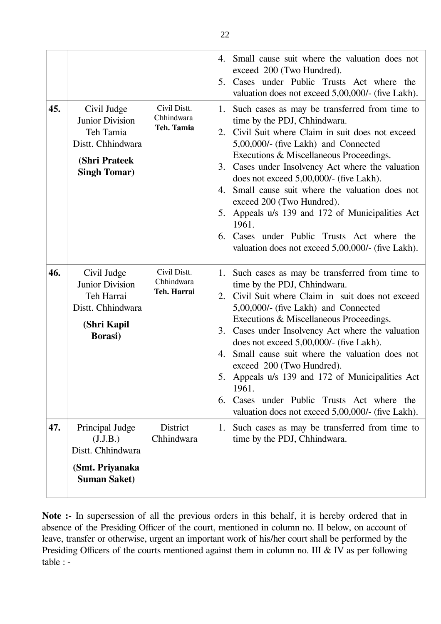|     |                                                                                                                 |                                           | 4. Small cause suit where the valuation does not<br>exceed 200 (Two Hundred).<br>5. Cases under Public Trusts Act where the<br>valuation does not exceed 5,00,000/- (five Lakh).                                                                                                                                                                                                                                                                                                                                                                                                            |
|-----|-----------------------------------------------------------------------------------------------------------------|-------------------------------------------|---------------------------------------------------------------------------------------------------------------------------------------------------------------------------------------------------------------------------------------------------------------------------------------------------------------------------------------------------------------------------------------------------------------------------------------------------------------------------------------------------------------------------------------------------------------------------------------------|
| 45. | Civil Judge<br><b>Junior Division</b><br>Teh Tamia<br>Distt. Chhindwara<br>(Shri Prateek<br><b>Singh Tomar)</b> | Civil Distt.<br>Chhindwara<br>Teh. Tamia  | Such cases as may be transferred from time to<br>1.<br>time by the PDJ, Chhindwara.<br>Civil Suit where Claim in suit does not exceed<br>2.<br>5,00,000/- (five Lakh) and Connected<br>Executions & Miscellaneous Proceedings.<br>Cases under Insolvency Act where the valuation<br>3.<br>does not exceed $5,00,000/$ - (five Lakh).<br>Small cause suit where the valuation does not<br>4.<br>exceed 200 (Two Hundred).<br>Appeals u/s 139 and 172 of Municipalities Act<br>5.<br>1961.<br>6. Cases under Public Trusts Act where the<br>valuation does not exceed 5,00,000/- (five Lakh). |
| 46. | Civil Judge<br><b>Junior Division</b><br>Teh Harrai<br>Distt. Chhindwara<br>(Shri Kapil<br><b>Borasi</b> )      | Civil Distt.<br>Chhindwara<br>Teh. Harrai | Such cases as may be transferred from time to<br>1.<br>time by the PDJ, Chhindwara.<br>2. Civil Suit where Claim in suit does not exceed<br>5,00,000/- (five Lakh) and Connected<br>Executions & Miscellaneous Proceedings.<br>3. Cases under Insolvency Act where the valuation<br>does not exceed $5,00,000/$ - (five Lakh).<br>Small cause suit where the valuation does not<br>4.<br>exceed 200 (Two Hundred).<br>Appeals u/s 139 and 172 of Municipalities Act<br>5.<br>1961.<br>Cases under Public Trusts Act where the<br>6.<br>valuation does not exceed 5,00,000/- (five Lakh).    |
| 47. | Principal Judge<br>(J.J.B.)<br>Distt. Chhindwara<br>(Smt. Priyanaka<br><b>Suman Saket)</b>                      | <b>District</b><br>Chhindwara             | Such cases as may be transferred from time to<br>1.<br>time by the PDJ, Chhindwara.                                                                                                                                                                                                                                                                                                                                                                                                                                                                                                         |

Note :- In supersession of all the previous orders in this behalf, it is hereby ordered that in absence of the Presiding Officer of the court, mentioned in column no. II below, on account of leave, transfer or otherwise, urgent an important work of his/her court shall be performed by the Presiding Officers of the courts mentioned against them in column no. III & IV as per following table : -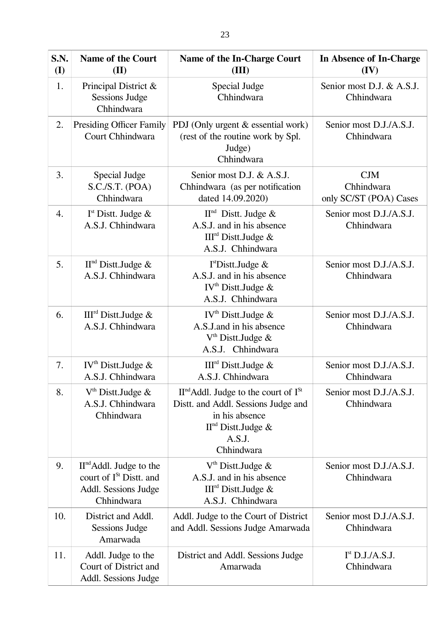| S.N.<br>( <b>I</b> ) | <b>Name of the Court</b><br>(II)                                                                       | <b>Name of the In-Charge Court</b><br>(III)                                                                                                       | In Absence of In-Charge<br>(IV)                    |
|----------------------|--------------------------------------------------------------------------------------------------------|---------------------------------------------------------------------------------------------------------------------------------------------------|----------------------------------------------------|
| 1.                   | Principal District &<br><b>Sessions Judge</b><br>Chhindwara                                            | Special Judge<br>Chhindwara                                                                                                                       | Senior most D.J. & A.S.J.<br>Chhindwara            |
| 2.                   | <b>Presiding Officer Family</b><br>Court Chhindwara                                                    | PDJ (Only urgent & essential work)<br>(rest of the routine work by Spl.<br>Judge)<br>Chhindwara                                                   | Senior most D.J./A.S.J.<br>Chhindwara              |
| 3.                   | Special Judge<br>S.C.S.T. (POA)<br>Chhindwara                                                          | Senior most D.J. & A.S.J.<br>Chhindwara (as per notification<br>dated 14.09.2020)                                                                 | <b>CJM</b><br>Chhindwara<br>only SC/ST (POA) Cases |
| 4.                   | $Ist$ Distt. Judge &<br>A.S.J. Chhindwara                                                              | $IInd$ Distt. Judge &<br>A.S.J. and in his absence<br>III <sup>rd</sup> Dist. Judge &<br>A.S.J. Chhindwara                                        | Senior most D.J./A.S.J.<br>Chhindwara              |
| 5.                   | $IInd$ Distt.Judge &<br>A.S.J. Chhindwara                                                              | I <sup>st</sup> Dist.Judge &<br>A.S.J. and in his absence<br>IV <sup>th</sup> Dist. Judge &<br>A.S.J. Chhindwara                                  | Senior most D.J./A.S.J.<br>Chhindwara              |
| 6.                   | III <sup>rd</sup> Dist. Judge &<br>A.S.J. Chhindwara                                                   | IV <sup>th</sup> Dist. Judge &<br>A.S.J.and in his absence<br>$Vth$ Distt. Judge &<br>A.S.J. Chhindwara                                           | Senior most D.J./A.S.J.<br>Chhindwara              |
| 7.                   | IV <sup>th</sup> Dist. Judge &<br>A.S.J. Chhindwara                                                    | III <sup>rd</sup> Dist. Judge &<br>A.S.J. Chhindwara                                                                                              | Senior most D.J./A.S.J.<br>Chhindwara              |
| 8.                   | $Vth$ Distt. Judge &<br>A.S.J. Chhindwara<br>Chhindwara                                                | $IInd$ Addl. Judge to the court of $ISt$<br>Distt. and Addl. Sessions Judge and<br>in his absence<br>$IInd$ Distt.Judge &<br>A.S.J.<br>Chhindwara | Senior most D.J./A.S.J.<br>Chhindwara              |
| 9.                   | $IInd$ Addl. Judge to the<br>court of I <sup>St</sup> Distt. and<br>Addl. Sessions Judge<br>Chhindwara | $Vth$ Distt. Judge &<br>A.S.J. and in his absence<br>III <sup>rd</sup> Distt.Judge &<br>A.S.J. Chhindwara                                         | Senior most D.J./A.S.J.<br>Chhindwara              |
| 10.                  | District and Addl.<br><b>Sessions Judge</b><br>Amarwada                                                | Addl. Judge to the Court of District<br>and Addl. Sessions Judge Amarwada                                                                         | Senior most D.J./A.S.J.<br>Chhindwara              |
| 11.                  | Addl. Judge to the<br>Court of District and<br>Addl. Sessions Judge                                    | District and Addl. Sessions Judge<br>Amarwada                                                                                                     | I <sup>st</sup> D.J.A.S.J.<br>Chhindwara           |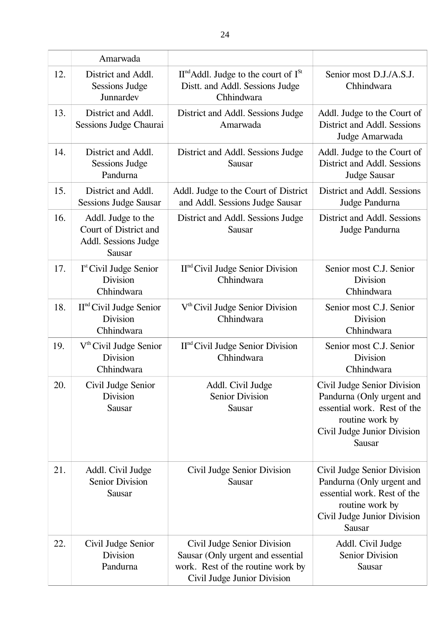|     | Amarwada                                                                             |                                                                                                                                      |                                                                                                                                                            |
|-----|--------------------------------------------------------------------------------------|--------------------------------------------------------------------------------------------------------------------------------------|------------------------------------------------------------------------------------------------------------------------------------------------------------|
| 12. | District and Addl.<br><b>Sessions Judge</b><br>Junnardev                             | $IInd$ Addl. Judge to the court of $ISt$<br>Distt. and Addl. Sessions Judge<br>Chhindwara                                            | Senior most D.J./A.S.J.<br>Chhindwara                                                                                                                      |
| 13. | District and Addl.<br>Sessions Judge Chaurai                                         | District and Addl. Sessions Judge<br>Amarwada                                                                                        | Addl. Judge to the Court of<br>District and Addl. Sessions<br>Judge Amarwada                                                                               |
| 14. | District and Addl.<br><b>Sessions Judge</b><br>Pandurna                              | District and Addl. Sessions Judge<br>Sausar                                                                                          | Addl. Judge to the Court of<br>District and Addl. Sessions<br><b>Judge Sausar</b>                                                                          |
| 15. | District and Addl.<br><b>Sessions Judge Sausar</b>                                   | Addl. Judge to the Court of District<br>and Addl. Sessions Judge Sausar                                                              | District and Addl. Sessions<br>Judge Pandurna                                                                                                              |
| 16. | Addl. Judge to the<br>Court of District and<br>Addl. Sessions Judge<br><b>Sausar</b> | District and Addl. Sessions Judge<br><b>Sausar</b>                                                                                   | District and Addl. Sessions<br>Judge Pandurna                                                                                                              |
| 17. | I <sup>st</sup> Civil Judge Senior<br><b>Division</b><br>Chhindwara                  | $IInd$ Civil Judge Senior Division<br>Chhindwara                                                                                     | Senior most C.J. Senior<br><b>Division</b><br>Chhindwara                                                                                                   |
| 18. | $IInd$ Civil Judge Senior<br><b>Division</b><br>Chhindwara                           | V <sup>th</sup> Civil Judge Senior Division<br>Chhindwara                                                                            | Senior most C.J. Senior<br><b>Division</b><br>Chhindwara                                                                                                   |
| 19. | V <sup>th</sup> Civil Judge Senior<br><b>Division</b><br>Chhindwara                  | $IInd$ Civil Judge Senior Division<br>Chhindwara                                                                                     | Senior most C.J. Senior<br><b>Division</b><br>Chhindwara                                                                                                   |
| 20. | Civil Judge Senior<br>Division<br><b>Sausar</b>                                      | Addl. Civil Judge<br><b>Senior Division</b><br>Sausar                                                                                | Civil Judge Senior Division<br>Pandurna (Only urgent and<br>essential work. Rest of the<br>routine work by<br>Civil Judge Junior Division<br>Sausar        |
| 21. | Addl. Civil Judge<br><b>Senior Division</b><br>Sausar                                | Civil Judge Senior Division<br>Sausar                                                                                                | Civil Judge Senior Division<br>Pandurna (Only urgent and<br>essential work. Rest of the<br>routine work by<br>Civil Judge Junior Division<br><b>Sausar</b> |
| 22. | Civil Judge Senior<br><b>Division</b><br>Pandurna                                    | Civil Judge Senior Division<br>Sausar (Only urgent and essential<br>work. Rest of the routine work by<br>Civil Judge Junior Division | Addl. Civil Judge<br><b>Senior Division</b><br>Sausar                                                                                                      |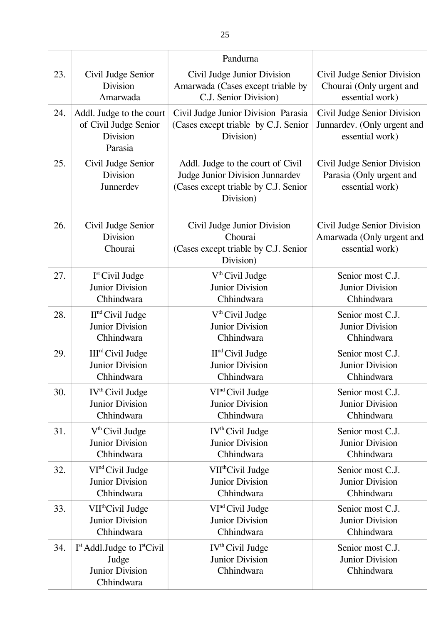|     |                                                                                   | Pandurna                                                                                                                  |                                                                               |
|-----|-----------------------------------------------------------------------------------|---------------------------------------------------------------------------------------------------------------------------|-------------------------------------------------------------------------------|
| 23. | Civil Judge Senior                                                                | Civil Judge Junior Division                                                                                               | Civil Judge Senior Division                                                   |
|     | <b>Division</b>                                                                   | Amarwada (Cases except triable by                                                                                         | Chourai (Only urgent and                                                      |
|     | Amarwada                                                                          | C.J. Senior Division)                                                                                                     | essential work)                                                               |
| 24. | Addl. Judge to the court<br>of Civil Judge Senior<br><b>Division</b><br>Parasia   | Civil Judge Junior Division Parasia<br>(Cases except triable by C.J. Senior<br>Division)                                  | Civil Judge Senior Division<br>Junnardev. (Only urgent and<br>essential work) |
| 25. | Civil Judge Senior<br><b>Division</b><br>Junnerdev                                | Addl. Judge to the court of Civil<br>Judge Junior Division Junnardev<br>(Cases except triable by C.J. Senior<br>Division) | Civil Judge Senior Division<br>Parasia (Only urgent and<br>essential work)    |
| 26. | Civil Judge Senior<br><b>Division</b><br>Chourai                                  | Civil Judge Junior Division<br>Chourai<br>(Cases except triable by C.J. Senior<br>Division)                               | Civil Judge Senior Division<br>Amarwada (Only urgent and<br>essential work)   |
| 27. | I <sup>st</sup> Civil Judge                                                       | $Vth$ Civil Judge                                                                                                         | Senior most C.J.                                                              |
|     | <b>Junior Division</b>                                                            | <b>Junior Division</b>                                                                                                    | <b>Junior Division</b>                                                        |
|     | Chhindwara                                                                        | Chhindwara                                                                                                                | Chhindwara                                                                    |
| 28. | $IInd$ Civil Judge                                                                | V <sup>th</sup> Civil Judge                                                                                               | Senior most C.J.                                                              |
|     | <b>Junior Division</b>                                                            | <b>Junior Division</b>                                                                                                    | <b>Junior Division</b>                                                        |
|     | Chhindwara                                                                        | Chhindwara                                                                                                                | Chhindwara                                                                    |
| 29. | III <sup>rd</sup> Civil Judge                                                     | $IInd$ Civil Judge                                                                                                        | Senior most C.J.                                                              |
|     | <b>Junior Division</b>                                                            | <b>Junior Division</b>                                                                                                    | <b>Junior Division</b>                                                        |
|     | Chhindwara                                                                        | Chhindwara                                                                                                                | Chhindwara                                                                    |
| 30. | IV <sup>th</sup> Civil Judge                                                      | VI <sup>nd</sup> Civil Judge                                                                                              | Senior most C.J.                                                              |
|     | <b>Junior Division</b>                                                            | <b>Junior Division</b>                                                                                                    | <b>Junior Division</b>                                                        |
|     | Chhindwara                                                                        | Chhindwara                                                                                                                | Chhindwara                                                                    |
| 31. | $Vth$ Civil Judge                                                                 | IV <sup>th</sup> Civil Judge                                                                                              | Senior most C.J.                                                              |
|     | <b>Junior Division</b>                                                            | <b>Junior Division</b>                                                                                                    | <b>Junior Division</b>                                                        |
|     | Chhindwara                                                                        | Chhindwara                                                                                                                | Chhindwara                                                                    |
| 32. | VI <sup>nd</sup> Civil Judge                                                      | VII <sup>th</sup> Civil Judge                                                                                             | Senior most C.J.                                                              |
|     | <b>Junior Division</b>                                                            | <b>Junior Division</b>                                                                                                    | <b>Junior Division</b>                                                        |
|     | Chhindwara                                                                        | Chhindwara                                                                                                                | Chhindwara                                                                    |
| 33. | VII <sup>th</sup> Civil Judge                                                     | VI <sup>nd</sup> Civil Judge                                                                                              | Senior most C.J.                                                              |
|     | <b>Junior Division</b>                                                            | <b>Junior Division</b>                                                                                                    | <b>Junior Division</b>                                                        |
|     | Chhindwara                                                                        | Chhindwara                                                                                                                | Chhindwara                                                                    |
| 34. | $Ist$ Addl. Judge to $Ist$ Civil<br>Judge<br><b>Junior Division</b><br>Chhindwara | $IVth$ Civil Judge<br><b>Junior Division</b><br>Chhindwara                                                                | Senior most C.J.<br>Junior Division<br>Chhindwara                             |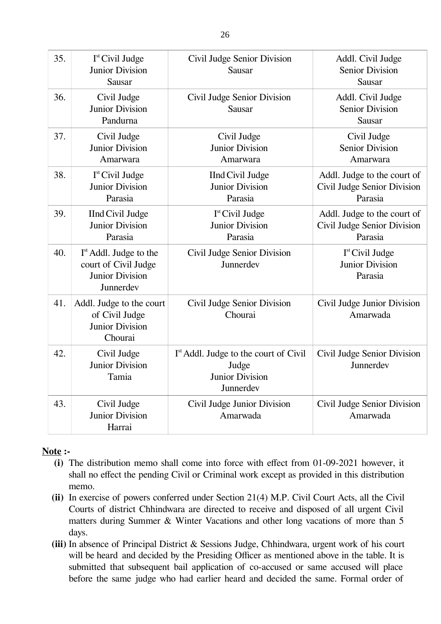| 35. | I <sup>st</sup> Civil Judge<br><b>Junior Division</b><br>Sausar                                   | Civil Judge Senior Division<br><b>Sausar</b>                                                      | Addl. Civil Judge<br><b>Senior Division</b><br>Sausar                 |
|-----|---------------------------------------------------------------------------------------------------|---------------------------------------------------------------------------------------------------|-----------------------------------------------------------------------|
| 36. | Civil Judge<br><b>Junior Division</b><br>Pandurna                                                 | Civil Judge Senior Division<br>Sausar                                                             | Addl. Civil Judge<br><b>Senior Division</b><br><b>Sausar</b>          |
| 37. | Civil Judge<br><b>Junior Division</b><br>Amarwara                                                 | Civil Judge<br><b>Junior Division</b><br>Amarwara                                                 | Civil Judge<br><b>Senior Division</b><br>Amarwara                     |
| 38. | $Ist$ Civil Judge<br><b>Junior Division</b><br>Parasia                                            | <b>IInd Civil Judge</b><br><b>Junior Division</b><br>Parasia                                      | Addl. Judge to the court of<br>Civil Judge Senior Division<br>Parasia |
| 39. | <b>IInd Civil Judge</b><br><b>Junior Division</b><br>Parasia                                      | I <sup>st</sup> Civil Judge<br><b>Junior Division</b><br>Parasia                                  | Addl. Judge to the court of<br>Civil Judge Senior Division<br>Parasia |
| 40. | I <sup>st</sup> Addl. Judge to the<br>court of Civil Judge<br><b>Junior Division</b><br>Junnerdev | Civil Judge Senior Division<br>Junnerdev                                                          | I <sup>st</sup> Civil Judge<br><b>Junior Division</b><br>Parasia      |
| 41. | Addl. Judge to the court<br>of Civil Judge<br><b>Junior Division</b><br>Chourai                   | Civil Judge Senior Division<br>Chourai                                                            | Civil Judge Junior Division<br>Amarwada                               |
| 42. | Civil Judge<br><b>Junior Division</b><br>Tamia                                                    | I <sup>st</sup> Addl. Judge to the court of Civil<br>Judge<br><b>Junior Division</b><br>Junnerdev | Civil Judge Senior Division<br>Junnerdev                              |
| 43. | Civil Judge<br><b>Junior Division</b><br>Harrai                                                   | Civil Judge Junior Division<br>Amarwada                                                           | Civil Judge Senior Division<br>Amarwada                               |

## **Note :-**

- **(i)** The distribution memo shall come into force with effect from 01-09-2021 however, it shall no effect the pending Civil or Criminal work except as provided in this distribution memo.
- **(ii)** In exercise of powers conferred under Section 21(4) M.P. Civil Court Acts, all the Civil Courts of district Chhindwara are directed to receive and disposed of all urgent Civil matters during Summer & Winter Vacations and other long vacations of more than 5 days.
- **(iii)** In absence of Principal District & Sessions Judge, Chhindwara, urgent work of his court will be heard and decided by the Presiding Officer as mentioned above in the table. It is submitted that subsequent bail application of co-accused or same accused will place before the same judge who had earlier heard and decided the same. Formal order of